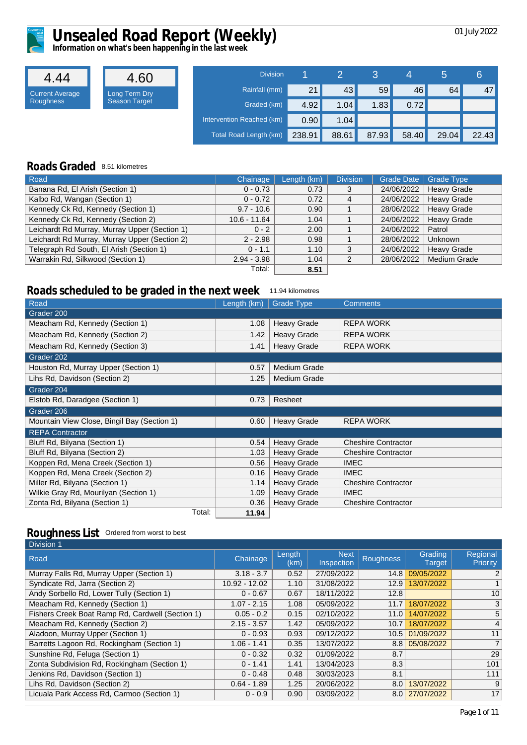

4.44 Current Average Roughness

# Unsealed Road Report (Weekly) **Disk and American Computer** 1973-1972

**Information on what's been happening in the last week**

| 4.60                                  | <b>Division</b>           |        |       |                 | 4     | Ъ     | 6     |
|---------------------------------------|---------------------------|--------|-------|-----------------|-------|-------|-------|
|                                       | Rainfall (mm)             | 21     | 43    | 59 <sup>°</sup> | 46    | 64    | 47    |
| Long Term Dry<br><b>Season Target</b> | Graded (km)               | 4.92   | 1.04  | 1.83            | 0.72  |       |       |
|                                       | Intervention Reached (km) | 0.90   | 1.04  |                 |       |       |       |
|                                       | Total Road Length (km)    | 238.91 | 88.61 | 87.93           | 58.40 | 29.04 | 22.43 |

#### **Roads Graded** 8.51 kilometres

| Road                                          | Chainage       | Length (km) | <b>Division</b> | <b>Grade Date</b> | <b>Grade Type</b>   |
|-----------------------------------------------|----------------|-------------|-----------------|-------------------|---------------------|
| Banana Rd, El Arish (Section 1)               | $0 - 0.73$     | 0.73        | 3               | 24/06/2022        | <b>Heavy Grade</b>  |
| Kalbo Rd, Wangan (Section 1)                  | $0 - 0.72$     | 0.72        | 4               | 24/06/2022        | <b>Heavy Grade</b>  |
| Kennedy Ck Rd, Kennedy (Section 1)            | $9.7 - 10.6$   | 0.90        |                 | 28/06/2022        | <b>Heavy Grade</b>  |
| Kennedy Ck Rd, Kennedy (Section 2)            | $10.6 - 11.64$ | 1.04        |                 | 24/06/2022        | <b>Heavy Grade</b>  |
| Leichardt Rd Murray, Murray Upper (Section 1) | $0 - 2$        | 2.00        |                 | 24/06/2022        | Patrol              |
| Leichardt Rd Murray, Murray Upper (Section 2) | $2 - 2.98$     | 0.98        |                 | 28/06/2022        | Unknown             |
| Telegraph Rd South, El Arish (Section 1)      | $0 - 1.1$      | 1.10        | 3               | 24/06/2022        | <b>Heavy Grade</b>  |
| Warrakin Rd, Silkwood (Section 1)             | $2.94 - 3.98$  | 1.04        | 2               | 28/06/2022        | <b>Medium Grade</b> |
|                                               | Total:         | 8.51        |                 |                   |                     |

#### **Roads scheduled to be graded in the next week** 11.94 kilometres

| Road                                        | Length (km) | <b>Grade Type</b>   | <b>Comments</b>            |
|---------------------------------------------|-------------|---------------------|----------------------------|
| Grader 200                                  |             |                     |                            |
| Meacham Rd, Kennedy (Section 1)             | 1.08        | <b>Heavy Grade</b>  | <b>REPA WORK</b>           |
| Meacham Rd, Kennedy (Section 2)             | 1.42        | <b>Heavy Grade</b>  | <b>REPA WORK</b>           |
| Meacham Rd, Kennedy (Section 3)             | 1.41        | <b>Heavy Grade</b>  | <b>REPA WORK</b>           |
| Grader 202                                  |             |                     |                            |
| Houston Rd, Murray Upper (Section 1)        | 0.57        | <b>Medium Grade</b> |                            |
| Lihs Rd, Davidson (Section 2)               | 1.25        | <b>Medium Grade</b> |                            |
| Grader 204                                  |             |                     |                            |
| Elstob Rd, Daradgee (Section 1)             | 0.73        | Resheet             |                            |
| Grader 206                                  |             |                     |                            |
| Mountain View Close, Bingil Bay (Section 1) | 0.60        | <b>Heavy Grade</b>  | <b>REPA WORK</b>           |
| <b>REPA Contractor</b>                      |             |                     |                            |
| Bluff Rd, Bilyana (Section 1)               | 0.54        | <b>Heavy Grade</b>  | <b>Cheshire Contractor</b> |
| Bluff Rd, Bilyana (Section 2)               | 1.03        | <b>Heavy Grade</b>  | <b>Cheshire Contractor</b> |
| Koppen Rd, Mena Creek (Section 1)           | 0.56        | <b>Heavy Grade</b>  | <b>IMEC</b>                |
| Koppen Rd, Mena Creek (Section 2)           | 0.16        | <b>Heavy Grade</b>  | <b>IMEC</b>                |
| Miller Rd, Bilyana (Section 1)              | 1.14        | <b>Heavy Grade</b>  | <b>Cheshire Contractor</b> |
| Wilkie Gray Rd, Mourilyan (Section 1)       | 1.09        | <b>Heavy Grade</b>  | <b>IMEC</b>                |
| Zonta Rd, Bilyana (Section 1)               | 0.36        | <b>Heavy Grade</b>  | <b>Cheshire Contractor</b> |
| Total:                                      | 11.94       |                     |                            |

| <b>Division 1</b>                                |               |                |                           |                  |                          |                      |
|--------------------------------------------------|---------------|----------------|---------------------------|------------------|--------------------------|----------------------|
| Road                                             | Chainage      | Length<br>(km) | <b>Next</b><br>Inspection | <b>Roughness</b> | Grading<br><b>Target</b> | Regional<br>Priority |
| Murray Falls Rd, Murray Upper (Section 1)        | $3.18 - 3.7$  | 0.52           | 27/09/2022                | 14.8             | 09/05/2022               | 2                    |
| Syndicate Rd, Jarra (Section 2)                  | 10.92 - 12.02 | 1.10           | 31/08/2022                | 12.9             | 13/07/2022               |                      |
| Andy Sorbello Rd, Lower Tully (Section 1)        | $0 - 0.67$    | 0.67           | 18/11/2022                | 12.8             |                          | 10                   |
| Meacham Rd, Kennedy (Section 1)                  | $1.07 - 2.15$ | 1.08           | 05/09/2022                | 11.7             | 18/07/2022               | 3                    |
| Fishers Creek Boat Ramp Rd, Cardwell (Section 1) | $0.05 - 0.2$  | 0.15           | 02/10/2022                | 11.0             | 14/07/2022               | 5                    |
| Meacham Rd, Kennedy (Section 2)                  | $2.15 - 3.57$ | 1.42           | 05/09/2022                | 10.7             | 18/07/2022               | 4                    |
| Aladoon, Murray Upper (Section 1)                | $0 - 0.93$    | 0.93           | 09/12/2022                | 10.5             | 01/09/2022               | 11                   |
| Barretts Lagoon Rd, Rockingham (Section 1)       | $1.06 - 1.41$ | 0.35           | 13/07/2022                | 8.8              | 05/08/2022               | $\overline{7}$       |
| Sunshine Rd, Feluga (Section 1)                  | $0 - 0.32$    | 0.32           | 01/09/2022                | 8.7              |                          | 29                   |
| Zonta Subdivision Rd, Rockingham (Section 1)     | $0 - 1.41$    | 1.41           | 13/04/2023                | 8.3              |                          | 101                  |
| Jenkins Rd, Davidson (Section 1)                 | $0 - 0.48$    | 0.48           | 30/03/2023                | 8.1              |                          | 111                  |
| Lihs Rd, Davidson (Section 2)                    | $0.64 - 1.89$ | 1.25           | 20/06/2022                | 8.0              | 13/07/2022               | 9                    |
| Licuala Park Access Rd, Carmoo (Section 1)       | $0 - 0.9$     | 0.90           | 03/09/2022                | 8.0 <sub>1</sub> | 27/07/2022               | 17                   |
|                                                  |               |                |                           |                  |                          |                      |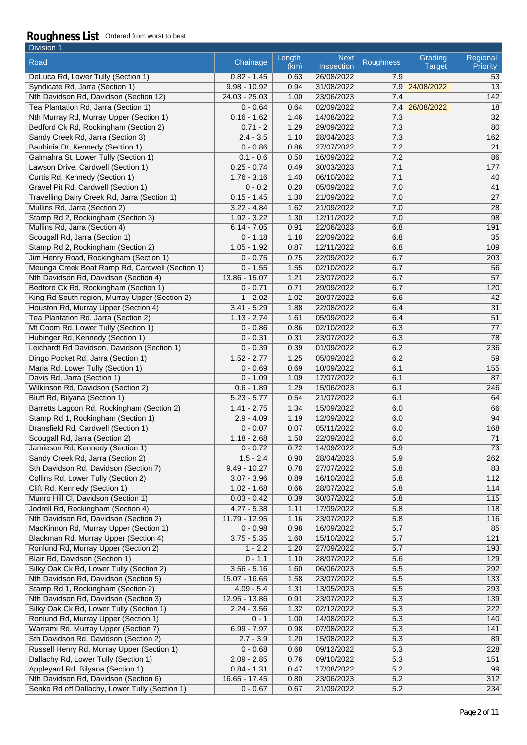| Division 1                                      |                |                |                           |           |                          |                             |
|-------------------------------------------------|----------------|----------------|---------------------------|-----------|--------------------------|-----------------------------|
| Road                                            | Chainage       | Length<br>(km) | <b>Next</b><br>Inspection | Roughness | Grading<br><b>Target</b> | Regional<br><b>Priority</b> |
| DeLuca Rd, Lower Tully (Section 1)              | $0.82 - 1.45$  | 0.63           | 26/08/2022                | 7.9       |                          | 53                          |
| Syndicate Rd, Jarra (Section 1)                 | $9.98 - 10.92$ | 0.94           | 31/08/2022                | 7.9       | 24/08/2022               | 13                          |
| Nth Davidson Rd, Davidson (Section 12)          | 24.03 - 25.03  | 1.00           | 23/06/2023                | 7.4       |                          | 142                         |
| Tea Plantation Rd, Jarra (Section 1)            | $0 - 0.64$     | 0.64           | 02/09/2022                | 7.4       | 26/08/2022               | 18                          |
| Nth Murray Rd, Murray Upper (Section 1)         | $0.16 - 1.62$  | 1.46           | 14/08/2022                | 7.3       |                          | 32                          |
| Bedford Ck Rd, Rockingham (Section 2)           | $0.71 - 2$     | 1.29           | 29/09/2022                | 7.3       |                          | 80                          |
| Sandy Creek Rd, Jarra (Section 3)               | $2.4 - 3.5$    | 1.10           | 28/04/2023                | 7.3       |                          | 162                         |
| Bauhinia Dr, Kennedy (Section 1)                | $0 - 0.86$     | 0.86           | 27/07/2022                | 7.2       |                          | 21                          |
| Galmahra St, Lower Tully (Section 1)            | $0.1 - 0.6$    | 0.50           | 16/09/2022                | 7.2       |                          | 86                          |
| Lawson Drive, Cardwell (Section 1)              | $0.25 - 0.74$  | 0.49           | 30/03/2023                | 7.1       |                          | 177                         |
| Curtis Rd, Kennedy (Section 1)                  | $1.76 - 3.16$  | 1.40           | 06/10/2022                | 7.1       |                          | 40                          |
| Gravel Pit Rd, Cardwell (Section 1)             | $0 - 0.2$      | 0.20           | 05/09/2022                | 7.0       |                          | 41                          |
| Travelling Dairy Creek Rd, Jarra (Section 1)    | $0.15 - 1.45$  | 1.30           | 21/09/2022                | 7.0       |                          | $\overline{27}$             |
| Mullins Rd, Jarra (Section 2)                   | $3.22 - 4.84$  | 1.62           | 21/09/2022                | 7.0       |                          | 28                          |
| Stamp Rd 2, Rockingham (Section 3)              | $1.92 - 3.22$  | 1.30           | 12/11/2022                | 7.0       |                          | 98                          |
| Mullins Rd, Jarra (Section 4)                   | $6.14 - 7.05$  | 0.91           | 22/06/2023                | 6.8       |                          | 191                         |
| Scougall Rd, Jarra (Section 1)                  | $0 - 1.18$     | 1.18           | 22/09/2022                | 6.8       |                          | 35                          |
| Stamp Rd 2, Rockingham (Section 2)              | $1.05 - 1.92$  | 0.87           | 12/11/2022                | 6.8       |                          | 109                         |
| Jim Henry Road, Rockingham (Section 1)          | $0 - 0.75$     | 0.75           | 22/09/2022                | 6.7       |                          | 203                         |
| Meunga Creek Boat Ramp Rd, Cardwell (Section 1) | $0 - 1.55$     | 1.55           | 02/10/2022                | 6.7       |                          | 56                          |
| Nth Davidson Rd, Davidson (Section 4)           | 13.86 - 15.07  | 1.21           | 23/07/2022                | 6.7       |                          | $\overline{57}$             |
| Bedford Ck Rd, Rockingham (Section 1)           | $0 - 0.71$     | 0.71           | 29/09/2022                | 6.7       |                          | 120                         |
| King Rd South region, Murray Upper (Section 2)  | $1 - 2.02$     | 1.02           | 20/07/2022                | 6.6       |                          | 42                          |
| Houston Rd, Murray Upper (Section 4)            | $3.41 - 5.29$  | 1.88           | 22/08/2022                | 6.4       |                          | 31                          |
| Tea Plantation Rd, Jarra (Section 2)            | $1.13 - 2.74$  | 1.61           | 05/09/2022                | 6.4       |                          | 51                          |
| Mt Coom Rd, Lower Tully (Section 1)             | $0 - 0.86$     | 0.86           | 02/10/2022                | 6.3       |                          | 77                          |
| Hubinger Rd, Kennedy (Section 1)                | $0 - 0.31$     | 0.31           | 23/07/2022                | 6.3       |                          | 78                          |
| Leichardt Rd Davidson, Davidson (Section 1)     | $0 - 0.39$     | 0.39           | 01/09/2022                | 6.2       |                          | 236                         |
| Dingo Pocket Rd, Jarra (Section 1)              | $1.52 - 2.77$  | 1.25           | 05/09/2022                | 6.2       |                          | 59                          |
| Maria Rd, Lower Tully (Section 1)               | $0 - 0.69$     | 0.69           | 10/09/2022                | 6.1       |                          | 155                         |
| Davis Rd, Jarra (Section 1)                     | $0 - 1.09$     | 1.09           | 17/07/2022                | 6.1       |                          | 87                          |
| Wilkinson Rd, Davidson (Section 2)              | $0.6 - 1.89$   | 1.29           | 15/06/2023                | 6.1       |                          | 246                         |
| Bluff Rd, Bilyana (Section 1)                   | $5.23 - 5.77$  | 0.54           | 21/07/2022                | 6.1       |                          | 64                          |
| Barretts Lagoon Rd, Rockingham (Section 2)      | $1.41 - 2.75$  | 1.34           | 15/09/2022                | 6.0       |                          | 66                          |
| Stamp Rd 1, Rockingham (Section 1)              | $2.9 - 4.09$   | 1.19           | 12/09/2022                | 6.0       |                          | 94                          |
| Dransfield Rd, Cardwell (Section 1)             | $0 - 0.07$     | 0.07           | 05/11/2022                | 6.0       |                          | 168                         |
| Scougall Rd, Jarra (Section 2)                  | $1.18 - 2.68$  | 1.50           | 22/09/2022                | 6.0       |                          | 71                          |
| Jamieson Rd, Kennedy (Section 1)                | $0 - 0.72$     | 0.72           | 14/09/2022                | 5.9       |                          | 73                          |
| Sandy Creek Rd, Jarra (Section 2)               | $1.5 - 2.4$    | 0.90           | 28/04/2023                | 5.9       |                          | 262                         |
| Sth Davidson Rd, Davidson (Section 7)           | $9.49 - 10.27$ | 0.78           | 27/07/2022                | 5.8       |                          | 83                          |
| Collins Rd, Lower Tully (Section 2)             | $3.07 - 3.96$  | 0.89           | 16/10/2022                | 5.8       |                          | 112                         |
| Clift Rd, Kennedy (Section 1)                   | $1.02 - 1.68$  | 0.66           | 28/07/2022                | 5.8       |                          | 114                         |
| Munro Hill CI, Davidson (Section 1)             | $0.03 - 0.42$  | 0.39           | 30/07/2022                | 5.8       |                          | 115                         |
| Jodrell Rd, Rockingham (Section 4)              | $4.27 - 5.38$  | 1.11           | 17/09/2022                | 5.8       |                          | 118                         |
| Nth Davidson Rd, Davidson (Section 2)           | 11.79 - 12.95  | 1.16           | 23/07/2022                | 5.8       |                          | 116                         |
| MacKinnon Rd, Murray Upper (Section 1)          | $0 - 0.98$     | 0.98           | 16/09/2022                | 5.7       |                          | 85                          |
| Blackman Rd, Murray Upper (Section 4)           | $3.75 - 5.35$  | 1.60           | 15/10/2022                | 5.7       |                          | 121                         |
| Ronlund Rd, Murray Upper (Section 2)            | $1 - 2.2$      | 1.20           | 27/09/2022                | 5.7       |                          | 193                         |
| Blair Rd, Davidson (Section 1)                  | $0 - 1.1$      | 1.10           | 28/07/2022                | 5.6       |                          | 129                         |
| Silky Oak Ck Rd, Lower Tully (Section 2)        | $3.56 - 5.16$  | 1.60           | 06/06/2023                | 5.5       |                          | 292                         |
| Nth Davidson Rd, Davidson (Section 5)           | 15.07 - 16.65  | 1.58           | 23/07/2022                | 5.5       |                          | 133                         |
| Stamp Rd 1, Rockingham (Section 2)              | $4.09 - 5.4$   | 1.31           | 13/05/2023                | 5.5       |                          | 293                         |
| Nth Davidson Rd, Davidson (Section 3)           | 12.95 - 13.86  | 0.91           | 23/07/2022                | 5.3       |                          | 139                         |
| Silky Oak Ck Rd, Lower Tully (Section 1)        | $2.24 - 3.56$  | 1.32           | 02/12/2022                | 5.3       |                          | 222                         |
| Ronlund Rd, Murray Upper (Section 1)            | $0 - 1$        | 1.00           | 14/08/2022                | 5.3       |                          | 140                         |
| Warrami Rd, Murray Upper (Section 7)            | $6.99 - 7.97$  | 0.98           | 07/08/2022                | 5.3       |                          | 141                         |
| Sth Davidson Rd, Davidson (Section 2)           | $2.7 - 3.9$    | 1.20           | 15/08/2022                | 5.3       |                          | 89                          |
| Russell Henry Rd, Murray Upper (Section 1)      | $0 - 0.68$     | 0.68           | 09/12/2022                | 5.3       |                          | 228                         |
| Dallachy Rd, Lower Tully (Section 1)            | $2.09 - 2.85$  | 0.76           | 09/10/2022                | 5.3       |                          | 151                         |
| Appleyard Rd, Bilyana (Section 1)               | $0.84 - 1.31$  | 0.47           | 17/08/2022                | 5.2       |                          | 99                          |
| Nth Davidson Rd, Davidson (Section 6)           | 16.65 - 17.45  | 0.80           | 23/06/2023                | 5.2       |                          | $\overline{312}$            |
| Senko Rd off Dallachy, Lower Tully (Section 1)  | $0 - 0.67$     | 0.67           | 21/09/2022                | 5.2       |                          | 234                         |
|                                                 |                |                |                           |           |                          |                             |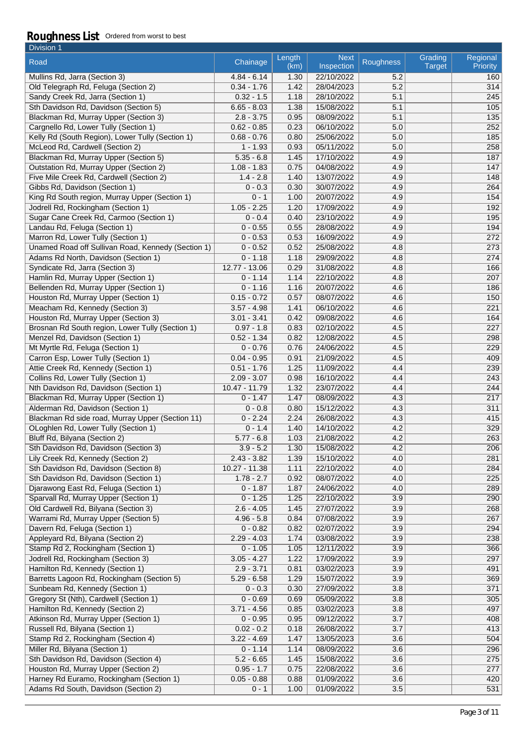| Division 1                                                                   |                                |                |                           |                  |                          |                      |
|------------------------------------------------------------------------------|--------------------------------|----------------|---------------------------|------------------|--------------------------|----------------------|
| Road                                                                         | Chainage                       | Length<br>(km) | <b>Next</b><br>Inspection | <b>Roughness</b> | Grading<br><b>Target</b> | Regional<br>Priority |
| Mullins Rd, Jarra (Section 3)                                                | $4.84 - 6.14$                  | 1.30           | 22/10/2022                | 5.2              |                          | 160                  |
| Old Telegraph Rd, Feluga (Section 2)                                         | $0.34 - 1.76$                  | 1.42           | 28/04/2023                | 5.2              |                          | 314                  |
| Sandy Creek Rd, Jarra (Section 1)                                            | $0.32 - 1.5$                   | 1.18           | 28/10/2022                | 5.1              |                          | 245                  |
| Sth Davidson Rd, Davidson (Section 5)                                        | $6.65 - 8.03$                  | 1.38           | 15/08/2022                | 5.1              |                          | 105                  |
| Blackman Rd, Murray Upper (Section 3)                                        | $2.8 - 3.75$                   | 0.95           | 08/09/2022                | 5.1              |                          | $\overline{135}$     |
| Cargnello Rd, Lower Tully (Section 1)                                        | $0.62 - 0.85$                  | 0.23           | 06/10/2022                | 5.0              |                          | 252                  |
| Kelly Rd (South Region), Lower Tully (Section 1)                             | $0.68 - 0.76$                  | 0.80           | 25/06/2022                | 5.0              |                          | 185                  |
| McLeod Rd, Cardwell (Section 2)                                              | $1 - 1.93$                     | 0.93           | 05/11/2022                | 5.0              |                          | 258                  |
| Blackman Rd, Murray Upper (Section 5)                                        | $5.35 - 6.8$                   | 1.45           | 17/10/2022                | 4.9              |                          | 187                  |
| <b>Outstation Rd, Murray Upper (Section 2)</b>                               | $1.08 - 1.83$                  | 0.75           | 04/08/2022                | 4.9              |                          | 147                  |
| Five Mile Creek Rd, Cardwell (Section 2)                                     | $1.4 - 2.8$                    | 1.40           | 13/07/2022                | 4.9              |                          | 148                  |
| Gibbs Rd, Davidson (Section 1)                                               | $0 - 0.3$                      | 0.30           | 30/07/2022                | 4.9              |                          | 264                  |
| King Rd South region, Murray Upper (Section 1)                               | $0 - 1$                        | 1.00           | 20/07/2022                | 4.9              |                          | 154                  |
| Jodrell Rd, Rockingham (Section 1)                                           | $1.05 - 2.25$                  | 1.20           | 17/09/2022                | 4.9              |                          | 192                  |
| Sugar Cane Creek Rd, Carmoo (Section 1)                                      | $0 - 0.4$                      | 0.40           | 23/10/2022                | 4.9              |                          | 195                  |
| Landau Rd, Feluga (Section 1)                                                | $0 - 0.55$                     | 0.55           | 28/08/2022                | 4.9              |                          | 194                  |
| Marron Rd, Lower Tully (Section 1)                                           | $0 - 0.53$                     | 0.53           | 16/09/2022                | 4.9              |                          | 272                  |
| Unamed Road off Sullivan Road, Kennedy (Section 1)                           | $0 - 0.52$                     | 0.52           | 25/08/2022                | 4.8              |                          | 273                  |
| Adams Rd North, Davidson (Section 1)                                         | $0 - 1.18$                     | 1.18           | 29/09/2022                | 4.8              |                          | 274                  |
| Syndicate Rd, Jarra (Section 3)                                              | $12.77 - 13.06$                | 0.29           | 31/08/2022                | 4.8              |                          | 166                  |
| Hamlin Rd, Murray Upper (Section 1)                                          | $0 - 1.14$                     | 1.14           | 22/10/2022                | 4.8              |                          | 207                  |
| Bellenden Rd, Murray Upper (Section 1)                                       | $0 - 1.16$                     | 1.16           | 20/07/2022                | 4.6              |                          | 186                  |
| Houston Rd, Murray Upper (Section 1)                                         | $0.15 - 0.72$                  | 0.57           | 08/07/2022                | 4.6              |                          | 150                  |
| Meacham Rd, Kennedy (Section 3)                                              | $3.57 - 4.98$                  | 1.41           | 06/10/2022                | 4.6              |                          | 221                  |
| Houston Rd, Murray Upper (Section 3)                                         | $3.01 - 3.41$                  | 0.42           | 09/08/2022                | 4.6              |                          | 164                  |
| Brosnan Rd South region, Lower Tully (Section 1)                             | $0.97 - 1.8$                   | 0.83           | 02/10/2022                | 4.5              |                          | 227                  |
| Menzel Rd, Davidson (Section 1)                                              | $0.52 - 1.34$                  | 0.82           | 12/08/2022                | 4.5              |                          | 298                  |
| Mt Myrtle Rd, Feluga (Section 1)                                             | $0 - 0.76$                     | 0.76           | 24/06/2022                | 4.5              |                          | 229                  |
| Carron Esp, Lower Tully (Section 1)                                          | $0.04 - 0.95$<br>$0.51 - 1.76$ | 0.91           | 21/09/2022                | 4.5              |                          | 409                  |
| Attie Creek Rd, Kennedy (Section 1)                                          | $2.09 - 3.07$                  | 1.25           | 11/09/2022<br>16/10/2022  | 4.4<br>4.4       |                          | 239                  |
| Collins Rd, Lower Tully (Section 1)<br>Nth Davidson Rd, Davidson (Section 1) | $10.47 - 11.79$                | 0.98<br>1.32   | 23/07/2022                | 4.4              |                          | 243<br>244           |
| Blackman Rd, Murray Upper (Section 1)                                        | $0 - 1.47$                     | 1.47           | 08/09/2022                | 4.3              |                          | 217                  |
| Alderman Rd, Davidson (Section 1)                                            | $0 - 0.8$                      | 0.80           | 15/12/2022                | 4.3              |                          | 311                  |
| Blackman Rd side road, Murray Upper (Section 11)                             | $0 - 2.24$                     | 2.24           | 26/08/2022                | 4.3              |                          | 415                  |
| OLoghlen Rd, Lower Tully (Section 1)                                         | $0 - 1.4$                      | 1.40           | 14/10/2022                | 4.2              |                          | 329                  |
| Bluff Rd, Bilyana (Section 2)                                                | $5.77 - 6.8$                   | 1.03           | 21/08/2022                | 4.2              |                          | 263                  |
| Sth Davidson Rd, Davidson (Section 3)                                        | $3.9 - 5.2$                    | 1.30           | 15/08/2022                | 4.2              |                          | 206                  |
| Lily Creek Rd, Kennedy (Section 2)                                           | $2.43 - 3.82$                  | 1.39           | 15/10/2022                | 4.0              |                          | 281                  |
| Sth Davidson Rd, Davidson (Section 8)                                        | $10.27 - 11.38$                | 1.11           | 22/10/2022                | 4.0              |                          | 284                  |
| Sth Davidson Rd, Davidson (Section 1)                                        | $1.78 - 2.7$                   | 0.92           | 08/07/2022                | 4.0              |                          | 225                  |
| Djarawong East Rd, Feluga (Section 1)                                        | $0 - 1.87$                     | 1.87           | 24/06/2022                | 4.0              |                          | 289                  |
| Sparvall Rd, Murray Upper (Section 1)                                        | $0 - 1.25$                     | 1.25           | 22/10/2022                | 3.9              |                          | 290                  |
| Old Cardwell Rd, Bilyana (Section 3)                                         | $2.6 - 4.05$                   | 1.45           | 27/07/2022                | 3.9              |                          | 268                  |
| Warrami Rd, Murray Upper (Section 5)                                         | $4.96 - 5.8$                   | 0.84           | 07/08/2022                | 3.9              |                          | 267                  |
| Davern Rd, Feluga (Section 1)                                                | $0 - 0.82$                     | 0.82           | 02/07/2022                | 3.9              |                          | 294                  |
| Appleyard Rd, Bilyana (Section 2)                                            | $2.29 - 4.03$                  | 1.74           | 03/08/2022                | 3.9              |                          | 238                  |
| Stamp Rd 2, Rockingham (Section 1)                                           | $0 - 1.05$                     | 1.05           | 12/11/2022                | 3.9              |                          | 366                  |
| Jodrell Rd, Rockingham (Section 3)                                           | $3.05 - 4.27$                  | 1.22           | 17/09/2022                | 3.9              |                          | 297                  |
| Hamilton Rd, Kennedy (Section 1)                                             | $2.9 - 3.71$                   | 0.81           | 03/02/2023                | 3.9              |                          | 491                  |
| Barretts Lagoon Rd, Rockingham (Section 5)                                   | $5.29 - 6.58$                  | 1.29           | 15/07/2022                | 3.9              |                          | 369                  |
| Sunbeam Rd, Kennedy (Section 1)                                              | $0 - 0.3$                      | 0.30           | 27/09/2022                | 3.8              |                          | 371                  |
| Gregory St (Nth), Cardwell (Section 1)                                       | $0 - 0.69$                     | 0.69           | 05/09/2022                | 3.8              |                          | 305                  |
| Hamilton Rd, Kennedy (Section 2)                                             | $3.71 - 4.56$                  | 0.85           | 03/02/2023                | 3.8              |                          | 497                  |
| Atkinson Rd, Murray Upper (Section 1)                                        | $0 - 0.95$                     | 0.95           | 09/12/2022                | 3.7              |                          | 408                  |
| Russell Rd, Bilyana (Section 1)                                              | $0.02 - 0.2$                   | 0.18           | 26/08/2022                | 3.7              |                          | 413                  |
| Stamp Rd 2, Rockingham (Section 4)                                           | $3.22 - 4.69$                  | 1.47           | 13/05/2023                | 3.6              |                          | 504                  |
| Miller Rd, Bilyana (Section 1)                                               | $0 - 1.14$                     | 1.14           | 08/09/2022                | 3.6              |                          | 296                  |
| Sth Davidson Rd, Davidson (Section 4)                                        | $5.2 - 6.65$                   | 1.45           | 15/08/2022                | 3.6              |                          | 275                  |
| Houston Rd, Murray Upper (Section 2)                                         | $0.95 - 1.7$                   | 0.75           | 22/08/2022                | 3.6              |                          | 277                  |
| Harney Rd Euramo, Rockingham (Section 1)                                     | $0.05 - 0.88$                  | 0.88           | 01/09/2022                | 3.6              |                          | 420                  |
| Adams Rd South, Davidson (Section 2)                                         | $0 - 1$                        | 1.00           | 01/09/2022                | 3.5              |                          | 531                  |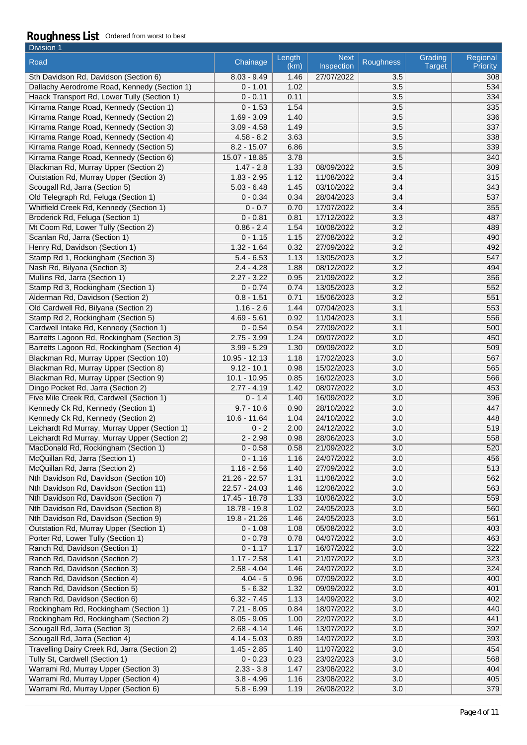| Division 1                                                           |                               |                |                           |                  |                          |                      |
|----------------------------------------------------------------------|-------------------------------|----------------|---------------------------|------------------|--------------------------|----------------------|
| Road                                                                 | Chainage                      | Length<br>(km) | <b>Next</b><br>Inspection | Roughness        | Grading<br><b>Target</b> | Regional<br>Priority |
| Sth Davidson Rd, Davidson (Section 6)                                | $8.03 - 9.49$                 | 1.46           | 27/07/2022                | 3.5              |                          | 308                  |
| Dallachy Aerodrome Road, Kennedy (Section 1)                         | $0 - 1.01$                    | 1.02           |                           | 3.5              |                          | 534                  |
| Haack Transport Rd, Lower Tully (Section 1)                          | $0 - 0.11$                    | 0.11           |                           | 3.5              |                          | 334                  |
| Kirrama Range Road, Kennedy (Section 1)                              | $0 - 1.53$                    | 1.54           |                           | 3.5              |                          | 335                  |
| Kirrama Range Road, Kennedy (Section 2)                              | $1.69 - 3.09$                 | 1.40           |                           | 3.5              |                          | 336                  |
| Kirrama Range Road, Kennedy (Section 3)                              | $3.09 - 4.58$                 | 1.49           |                           | 3.5              |                          | 337                  |
| Kirrama Range Road, Kennedy (Section 4)                              | $4.58 - 8.2$                  | 3.63           |                           | 3.5              |                          | 338                  |
| Kirrama Range Road, Kennedy (Section 5)                              | $8.2 - 15.07$                 | 6.86           |                           | 3.5              |                          | 339                  |
| Kirrama Range Road, Kennedy (Section 6)                              | 15.07 - 18.85                 | 3.78           |                           | 3.5              |                          | 340                  |
| Blackman Rd, Murray Upper (Section 2)                                | $1.47 - 2.8$                  | 1.33           | 08/09/2022                | 3.5              |                          | 309                  |
| Outstation Rd, Murray Upper (Section 3)                              | $1.83 - 2.95$                 | 1.12           | 11/08/2022                | 3.4              |                          | 315                  |
| Scougall Rd, Jarra (Section 5)                                       | $5.03 - 6.48$                 | 1.45           | 03/10/2022                | 3.4              |                          | 343                  |
| Old Telegraph Rd, Feluga (Section 1)                                 | $0 - 0.34$                    | 0.34           | 28/04/2023                | 3.4              |                          | 537                  |
| Whitfield Creek Rd, Kennedy (Section 1)                              | $0 - 0.7$                     | 0.70           | 17/07/2022                | 3.4              |                          | 355                  |
| Broderick Rd, Feluga (Section 1)                                     | $0 - 0.81$                    | 0.81           | 17/12/2022                | 3.3              |                          | 487                  |
| Mt Coom Rd, Lower Tully (Section 2)                                  | $0.86 - 2.4$                  | 1.54           | 10/08/2022                | 3.2              |                          | 489                  |
| Scanlan Rd, Jarra (Section 1)                                        | $0 - 1.15$                    | 1.15           | 27/08/2022                | 3.2              |                          | 490                  |
| Henry Rd, Davidson (Section 1)<br>Stamp Rd 1, Rockingham (Section 3) | $1.32 - 1.64$<br>$5.4 - 6.53$ | 0.32           | 27/09/2022<br>13/05/2023  | 3.2<br>3.2       |                          | 492<br>547           |
| Nash Rd, Bilyana (Section 3)                                         | $2.4 - 4.28$                  | 1.13<br>1.88   | 08/12/2022                | 3.2              |                          | 494                  |
| Mullins Rd, Jarra (Section 1)                                        | $2.27 - 3.22$                 | 0.95           | 21/09/2022                | 3.2              |                          | 356                  |
| Stamp Rd 3, Rockingham (Section 1)                                   | $0 - 0.74$                    | 0.74           | 13/05/2023                | 3.2              |                          | 552                  |
| Alderman Rd, Davidson (Section 2)                                    | $0.8 - 1.51$                  | 0.71           | 15/06/2023                | 3.2              |                          | 551                  |
| Old Cardwell Rd, Bilyana (Section 2)                                 | $1.16 - 2.6$                  | 1.44           | 07/04/2023                | 3.1              |                          | 553                  |
| Stamp Rd 2, Rockingham (Section 5)                                   | $4.69 - 5.61$                 | 0.92           | 11/04/2023                | 3.1              |                          | 556                  |
| Cardwell Intake Rd, Kennedy (Section 1)                              | $0 - 0.54$                    | 0.54           | 27/09/2022                | 3.1              |                          | 500                  |
| Barretts Lagoon Rd, Rockingham (Section 3)                           | $2.75 - 3.99$                 | 1.24           | 09/07/2022                | 3.0              |                          | 450                  |
| Barretts Lagoon Rd, Rockingham (Section 4)                           | $3.99 - 5.29$                 | 1.30           | 09/09/2022                | 3.0              |                          | 509                  |
| Blackman Rd, Murray Upper (Section 10)                               | 10.95 - 12.13                 | 1.18           | 17/02/2023                | 3.0              |                          | 567                  |
| Blackman Rd, Murray Upper (Section 8)                                | $9.12 - 10.1$                 | 0.98           | 15/02/2023                | 3.0              |                          | 565                  |
| Blackman Rd, Murray Upper (Section 9)                                | $10.1 - 10.95$                | 0.85           | 16/02/2023                | 3.0              |                          | 566                  |
| Dingo Pocket Rd, Jarra (Section 2)                                   | $2.77 - 4.19$                 | 1.42           | 08/07/2022                | 3.0              |                          | 453                  |
| Five Mile Creek Rd, Cardwell (Section 1)                             | $0 - 1.4$                     | 1.40           | 16/09/2022                | 3.0              |                          | 396                  |
| Kennedy Ck Rd, Kennedy (Section 1)                                   | $9.7 - 10.6$                  | 0.90           | 28/10/2022                | 3.0              |                          | 447                  |
| Kennedy Ck Rd, Kennedy (Section 2)                                   | $10.6 - 11.64$                | 1.04           | 24/10/2022                | 3.0              |                          | 448                  |
| Leichardt Rd Murray, Murray Upper (Section 1)                        | $0 - 2$                       | 2.00           | 24/12/2022                | 3.0              |                          | 519                  |
| Leichardt Rd Murray, Murray Upper (Section 2)                        | $2 - 2.98$                    | 0.98           | 28/06/2023                | 3.0              |                          | 558                  |
| MacDonald Rd, Rockingham (Section 1)                                 | $0 - 0.58$                    | 0.58           | 21/09/2022                | 3.0              |                          | 520                  |
| McQuillan Rd, Jarra (Section 1)                                      | $0 - 1.16$                    | 1.16           | 24/07/2022                | 3.0              |                          | 456                  |
| McQuillan Rd, Jarra (Section 2)                                      | $1.16 - 2.56$                 | 1.40           | 27/09/2022                | 3.0              |                          | 513                  |
| Nth Davidson Rd, Davidson (Section 10)                               | 21.26 - 22.57                 | 1.31           | 11/08/2022                | 3.0              |                          | 562                  |
| Nth Davidson Rd, Davidson (Section 11)                               | 22.57 - 24.03                 | 1.46           | 12/08/2022                | 3.0              |                          | 563                  |
| Nth Davidson Rd, Davidson (Section 7)                                | 17.45 - 18.78                 | 1.33           | 10/08/2022                | 3.0              |                          | 559                  |
| Nth Davidson Rd, Davidson (Section 8)                                | $18.78 - 19.8$                | 1.02           | 24/05/2023                | 3.0              |                          | 560                  |
| Nth Davidson Rd, Davidson (Section 9)                                | 19.8 - 21.26                  | 1.46           | 24/05/2023                | 3.0              |                          | 561                  |
| Outstation Rd, Murray Upper (Section 1)                              | $0 - 1.08$                    | 1.08           | 05/08/2022                | 3.0              |                          | 403                  |
| Porter Rd, Lower Tully (Section 1)                                   | $0 - 0.78$                    | 0.78           | 04/07/2022                | 3.0              |                          | 463                  |
| Ranch Rd, Davidson (Section 1)                                       | $0 - 1.17$                    | 1.17           | 16/07/2022                | 3.0              |                          | 322                  |
| Ranch Rd, Davidson (Section 2)                                       | $1.17 - 2.58$                 | 1.41           | 21/07/2022                | 3.0              |                          | 323                  |
| Ranch Rd, Davidson (Section 3)                                       | $2.58 - 4.04$                 | 1.46           | 24/07/2022                | 3.0              |                          | 324                  |
| Ranch Rd, Davidson (Section 4)                                       | $4.04 - 5$                    | 0.96           | 07/09/2022                | 3.0              |                          | 400                  |
| Ranch Rd, Davidson (Section 5)                                       | $5 - 6.32$                    | 1.32           | 09/09/2022                | 3.0              |                          | 401                  |
| Ranch Rd, Davidson (Section 6)                                       | $6.32 - 7.45$                 | 1.13           | 14/09/2022                | 3.0              |                          | 402                  |
| Rockingham Rd, Rockingham (Section 1)                                | $7.21 - 8.05$                 | 0.84           | 18/07/2022                | 3.0              |                          | 440                  |
| Rockingham Rd, Rockingham (Section 2)                                | $8.05 - 9.05$                 | 1.00           | 22/07/2022                | 3.0              |                          | 441                  |
| Scougall Rd, Jarra (Section 3)                                       | $2.68 - 4.14$                 | 1.46           | 13/07/2022                | 3.0              |                          | 392                  |
| Scougall Rd, Jarra (Section 4)                                       | $4.14 - 5.03$                 | 0.89           | 14/07/2022                | $\overline{3.0}$ |                          | 393                  |
| Travelling Dairy Creek Rd, Jarra (Section 2)                         | $1.45 - 2.85$                 | 1.40           | 11/07/2022                | 3.0              |                          | 454                  |
| Tully St, Cardwell (Section 1)                                       | $0 - 0.23$                    | 0.23           | 23/02/2023                | 3.0              |                          | 568                  |
| Warrami Rd, Murray Upper (Section 3)                                 | $2.33 - 3.8$                  | 1.47           | 23/08/2022                | 3.0              |                          | 404                  |
| Warrami Rd, Murray Upper (Section 4)                                 | $3.8 - 4.96$                  | 1.16           | 23/08/2022                | 3.0              |                          | 405                  |
| Warrami Rd, Murray Upper (Section 6)                                 | $5.8 - 6.99$                  | 1.19           | 26/08/2022                | 3.0              |                          | 379                  |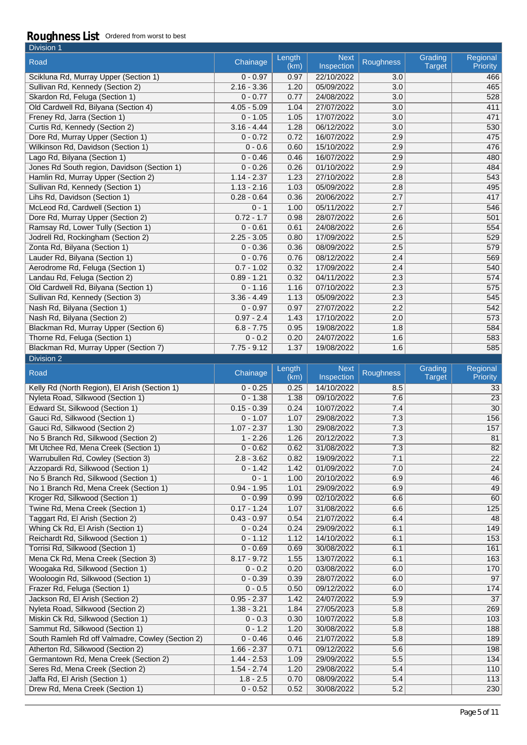| Division 1                                  |               |                |                           |                  |                          |                      |
|---------------------------------------------|---------------|----------------|---------------------------|------------------|--------------------------|----------------------|
| Road                                        | Chainage      | Length<br>(km) | <b>Next</b><br>Inspection | <b>Roughness</b> | Grading<br><b>Target</b> | Regional<br>Priority |
| Scikluna Rd, Murray Upper (Section 1)       | $0 - 0.97$    | 0.97           | 22/10/2022                | 3.0              |                          | 466                  |
| Sullivan Rd, Kennedy (Section 2)            | $2.16 - 3.36$ | 1.20           | 05/09/2022                | 3.0              |                          | 465                  |
| Skardon Rd, Feluga (Section 1)              | $0 - 0.77$    | 0.77           | 24/08/2022                | 3.0              |                          | 528                  |
| Old Cardwell Rd, Bilyana (Section 4)        | $4.05 - 5.09$ | 1.04           | 27/07/2022                | 3.0              |                          | 411                  |
| Freney Rd, Jarra (Section 1)                | $0 - 1.05$    | 1.05           | 17/07/2022                | 3.0              |                          | 471                  |
| Curtis Rd, Kennedy (Section 2)              | $3.16 - 4.44$ | 1.28           | 06/12/2022                | 3.0              |                          | 530                  |
| Dore Rd, Murray Upper (Section 1)           | $0 - 0.72$    | 0.72           | 16/07/2022                | 2.9              |                          | 475                  |
| Wilkinson Rd, Davidson (Section 1)          | $0 - 0.6$     | 0.60           | 15/10/2022                | 2.9              |                          | 476                  |
| Lago Rd, Bilyana (Section 1)                | $0 - 0.46$    | 0.46           | 16/07/2022                | 2.9              |                          | 480                  |
| Jones Rd South region, Davidson (Section 1) | $0 - 0.26$    | 0.26           | 01/10/2022                | 2.9              |                          | 484                  |
| Hamlin Rd, Murray Upper (Section 2)         | $1.14 - 2.37$ | 1.23           | 27/10/2022                | 2.8              |                          | 543                  |
| Sullivan Rd, Kennedy (Section 1)            | $1.13 - 2.16$ | 1.03           | 05/09/2022                | 2.8              |                          | 495                  |
| Lihs Rd, Davidson (Section 1)               | $0.28 - 0.64$ | 0.36           | 20/06/2022                | 2.7              |                          | 417                  |
| McLeod Rd, Cardwell (Section 1)             | $0 - 1$       | 1.00           | 05/11/2022                | 2.7              |                          | 546                  |
| Dore Rd, Murray Upper (Section 2)           | $0.72 - 1.7$  | 0.98           | 28/07/2022                | 2.6              |                          | 501                  |
| Ramsay Rd, Lower Tully (Section 1)          | $0 - 0.61$    | 0.61           | 24/08/2022                | 2.6              |                          | 554                  |
| Jodrell Rd, Rockingham (Section 2)          | $2.25 - 3.05$ | 0.80           | 17/09/2022                | 2.5              |                          | 529                  |
| Zonta Rd, Bilyana (Section 1)               | $0 - 0.36$    | 0.36           | 08/09/2022                | 2.5              |                          | 579                  |
| Lauder Rd, Bilyana (Section 1)              | $0 - 0.76$    | 0.76           | 08/12/2022                | 2.4              |                          | 569                  |
| Aerodrome Rd, Feluga (Section 1)            | $0.7 - 1.02$  | 0.32           | 17/09/2022                | 2.4              |                          | 540                  |
| Landau Rd, Feluga (Section 2)               | $0.89 - 1.21$ | 0.32           | 04/11/2022                | 2.3              |                          | 574                  |
| Old Cardwell Rd, Bilyana (Section 1)        | $0 - 1.16$    | 1.16           | 07/10/2022                | 2.3              |                          | 575                  |
| Sullivan Rd, Kennedy (Section 3)            | $3.36 - 4.49$ | 1.13           | 05/09/2022                | 2.3              |                          | 545                  |
| Nash Rd, Bilyana (Section 1)                | $0 - 0.97$    | 0.97           | 27/07/2022                | 2.2              |                          | 542                  |
| Nash Rd, Bilyana (Section 2)                | $0.97 - 2.4$  | 1.43           | 17/10/2022                | 2.0              |                          | 573                  |
| Blackman Rd, Murray Upper (Section 6)       | $6.8 - 7.75$  | 0.95           | 19/08/2022                | 1.8              |                          | 584                  |
| Thorne Rd, Feluga (Section 1)               | $0 - 0.2$     | 0.20           | 24/07/2022                | 1.6              |                          | 583                  |
| Blackman Rd, Murray Upper (Section 7)       | $7.75 - 9.12$ | 1.37           | 19/08/2022                | 1.6              |                          | 585                  |
| <b>Division 2</b>                           |               |                |                           |                  |                          |                      |

| Road                                             | Chainage      | Length<br>(km) | <b>Next</b><br>Inspection | Roughness | Grading<br><b>Target</b> | Regional<br>Priority |
|--------------------------------------------------|---------------|----------------|---------------------------|-----------|--------------------------|----------------------|
| Kelly Rd (North Region), El Arish (Section 1)    | $0 - 0.25$    | 0.25           | 14/10/2022                | 8.5       |                          | 33                   |
| Nyleta Road, Silkwood (Section 1)                | $0 - 1.38$    | 1.38           | 09/10/2022                | 7.6       |                          | 23                   |
| Edward St, Silkwood (Section 1)                  | $0.15 - 0.39$ | 0.24           | 10/07/2022                | 7.4       |                          | 30                   |
| Gauci Rd, Silkwood (Section 1)                   | $0 - 1.07$    | 1.07           | 29/08/2022                | 7.3       |                          | 156                  |
| Gauci Rd, Silkwood (Section 2)                   | $1.07 - 2.37$ | 1.30           | 29/08/2022                | 7.3       |                          | 157                  |
| No 5 Branch Rd, Silkwood (Section 2)             | $1 - 2.26$    | 1.26           | 20/12/2022                | 7.3       |                          | 81                   |
| Mt Utchee Rd, Mena Creek (Section 1)             | $0 - 0.62$    | 0.62           | 31/08/2022                | 7.3       |                          | 82                   |
| Warrubullen Rd, Cowley (Section 3)               | $2.8 - 3.62$  | 0.82           | 19/09/2022                | 7.1       |                          | $\overline{22}$      |
| Azzopardi Rd, Silkwood (Section 1)               | $0 - 1.42$    | 1.42           | 01/09/2022                | 7.0       |                          | 24                   |
| No 5 Branch Rd, Silkwood (Section 1)             | $0 - 1$       | 1.00           | 20/10/2022                | 6.9       |                          | 46                   |
| No 1 Branch Rd, Mena Creek (Section 1)           | $0.94 - 1.95$ | 1.01           | 29/09/2022                | 6.9       |                          | 49                   |
| Kroger Rd, Silkwood (Section 1)                  | $0 - 0.99$    | 0.99           | 02/10/2022                | 6.6       |                          | 60                   |
| Twine Rd, Mena Creek (Section 1)                 | $0.17 - 1.24$ | 1.07           | 31/08/2022                | 6.6       |                          | 125                  |
| Taggart Rd, El Arish (Section 2)                 | $0.43 - 0.97$ | 0.54           | 21/07/2022                | 6.4       |                          | 48                   |
| Whing Ck Rd, El Arish (Section 1)                | $0 - 0.24$    | 0.24           | 29/09/2022                | 6.1       |                          | 149                  |
| Reichardt Rd, Silkwood (Section 1)               | $0 - 1.12$    | 1.12           | 14/10/2022                | 6.1       |                          | 153                  |
| Torrisi Rd, Silkwood (Section 1)                 | $0 - 0.69$    | 0.69           | 30/08/2022                | 6.1       |                          | 161                  |
| Mena Ck Rd, Mena Creek (Section 3)               | $8.17 - 9.72$ | 1.55           | 13/07/2022                | 6.1       |                          | 163                  |
| Woogaka Rd, Silkwood (Section 1)                 | $0 - 0.2$     | 0.20           | 03/08/2022                | 6.0       |                          | 170                  |
| Wooloogin Rd, Silkwood (Section 1)               | $0 - 0.39$    | 0.39           | 28/07/2022                | 6.0       |                          | 97                   |
| Frazer Rd, Feluga (Section 1)                    | $0 - 0.5$     | 0.50           | 09/12/2022                | 6.0       |                          | 174                  |
| Jackson Rd, El Arish (Section 2)                 | $0.95 - 2.37$ | 1.42           | 24/07/2022                | 5.9       |                          | 37                   |
| Nyleta Road, Silkwood (Section 2)                | $1.38 - 3.21$ | 1.84           | 27/05/2023                | 5.8       |                          | 269                  |
| Miskin Ck Rd, Silkwood (Section 1)               | $0 - 0.3$     | 0.30           | 10/07/2022                | 5.8       |                          | 103                  |
| Sammut Rd, Silkwood (Section 1)                  | $0 - 1.2$     | 1.20           | 30/08/2022                | 5.8       |                          | 188                  |
| South Ramleh Rd off Valmadre, Cowley (Section 2) | $0 - 0.46$    | 0.46           | 21/07/2022                | 5.8       |                          | 189                  |
| Atherton Rd, Silkwood (Section 2)                | $1.66 - 2.37$ | 0.71           | 09/12/2022                | 5.6       |                          | 198                  |
| Germantown Rd, Mena Creek (Section 2)            | $1.44 - 2.53$ | 1.09           | 29/09/2022                | 5.5       |                          | 134                  |
| Seres Rd, Mena Creek (Section 2)                 | $1.54 - 2.74$ | 1.20           | 29/08/2022                | 5.4       |                          | 110                  |
| Jaffa Rd, El Arish (Section 1)                   | $1.8 - 2.5$   | 0.70           | 08/09/2022                | 5.4       |                          | 113                  |
| Drew Rd, Mena Creek (Section 1)                  | $0 - 0.52$    | 0.52           | 30/08/2022                | 5.2       |                          | 230                  |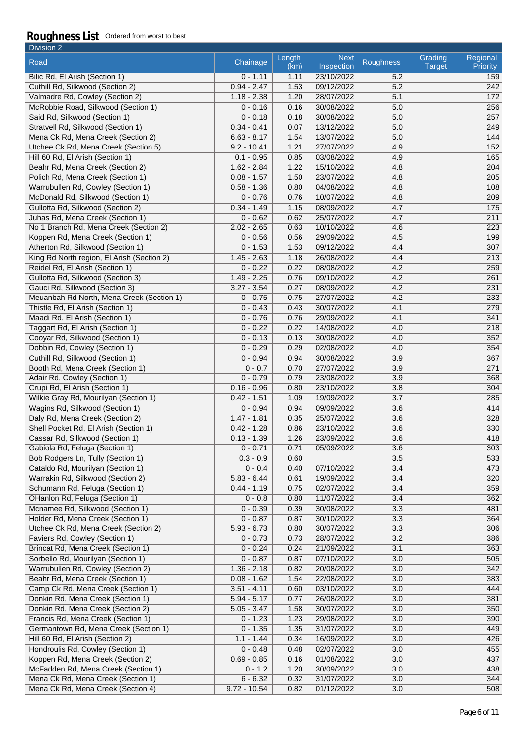| Division 2                                                              |                             |                |                           |                  |                          |                             |
|-------------------------------------------------------------------------|-----------------------------|----------------|---------------------------|------------------|--------------------------|-----------------------------|
| Road                                                                    | Chainage                    | Length<br>(km) | <b>Next</b><br>Inspection | <b>Roughness</b> | Grading<br><b>Target</b> | Regional<br><b>Priority</b> |
| Bilic Rd, El Arish (Section 1)                                          | $0 - 1.11$                  | 1.11           | 23/10/2022                | 5.2              |                          | 159                         |
| Cuthill Rd, Silkwood (Section 2)                                        | $0.94 - 2.47$               | 1.53           | 09/12/2022                | 5.2              |                          | 242                         |
| Valmadre Rd, Cowley (Section 2)                                         | $1.18 - 2.38$               | 1.20           | 28/07/2022                | 5.1              |                          | 172                         |
| McRobbie Road, Silkwood (Section 1)                                     | $0 - 0.16$                  | 0.16           | 30/08/2022                | 5.0              |                          | 256                         |
| Said Rd, Silkwood (Section 1)                                           | $0 - 0.18$                  | 0.18           | 30/08/2022                | 5.0              |                          | 257                         |
| Stratvell Rd, Silkwood (Section 1)                                      | $0.34 - 0.41$               | 0.07           | 13/12/2022                | 5.0              |                          | 249                         |
| Mena Ck Rd, Mena Creek (Section 2)                                      | $6.63 - 8.17$               | 1.54           | 13/07/2022                | 5.0              |                          | 144                         |
| Utchee Ck Rd, Mena Creek (Section 5)                                    | $9.2 - 10.41$               | 1.21           | 27/07/2022                | 4.9              |                          | 152                         |
| Hill 60 Rd, El Arish (Section 1)                                        | $0.1 - 0.95$                | 0.85           | 03/08/2022                | 4.9              |                          | 165                         |
| Beahr Rd, Mena Creek (Section 2)                                        | $1.62 - 2.84$               | 1.22           | 15/10/2022                | 4.8              |                          | 204                         |
| Polich Rd, Mena Creek (Section 1)                                       | $0.08 - 1.57$               | 1.50           | 23/07/2022                | 4.8              |                          | 205                         |
| Warrubullen Rd, Cowley (Section 1)                                      | $0.58 - 1.36$               | 0.80           | 04/08/2022                | 4.8              |                          | 108                         |
| McDonald Rd, Silkwood (Section 1)                                       | $0 - 0.76$                  | 0.76           | 10/07/2022                | 4.8              |                          | 209                         |
| Gullotta Rd, Silkwood (Section 2)                                       | $0.34 - 1.49$               | 1.15           | 08/09/2022                | 4.7              |                          | 175                         |
| Juhas Rd, Mena Creek (Section 1)                                        | $0 - 0.62$                  | 0.62           | 25/07/2022                | 4.7              |                          | 211                         |
| No 1 Branch Rd, Mena Creek (Section 2)                                  | $2.02 - 2.65$               | 0.63           | 10/10/2022                | 4.6              |                          | 223                         |
| Koppen Rd, Mena Creek (Section 1)                                       | $0 - 0.56$                  | 0.56           | 29/09/2022                | 4.5              |                          | 199                         |
| Atherton Rd, Silkwood (Section 1)                                       | $0 - 1.53$                  | 1.53           | 09/12/2022                | 4.4              |                          | 307                         |
| King Rd North region, El Arish (Section 2)                              | $1.45 - 2.63$               | 1.18           | 26/08/2022                | 4.4              |                          | 213                         |
| Reidel Rd, El Arish (Section 1)                                         | $0 - 0.22$                  | 0.22           | 08/08/2022                | 4.2              |                          | 259                         |
| Gullotta Rd, Silkwood (Section 3)                                       | $1.49 - 2.25$               | 0.76           | 09/10/2022                | 4.2              |                          | 261                         |
| Gauci Rd, Silkwood (Section 3)                                          | $3.27 - 3.54$               | 0.27           | 08/09/2022                | 4.2              |                          | 231                         |
| Meuanbah Rd North, Mena Creek (Section 1)                               | $0 - 0.75$                  | 0.75           | 27/07/2022                | 4.2              |                          | 233                         |
| Thistle Rd, El Arish (Section 1)                                        | $0 - 0.43$                  | 0.43           | 30/07/2022                | 4.1              |                          | 279                         |
| Maadi Rd, El Arish (Section 1)                                          | $0 - 0.76$                  | 0.76           | 29/09/2022                | 4.1              |                          | 341                         |
| Taggart Rd, El Arish (Section 1)                                        | $0 - 0.22$                  | 0.22           | 14/08/2022                | 4.0              |                          | 218                         |
| Cooyar Rd, Silkwood (Section 1)                                         | $0 - 0.13$                  | 0.13           | 30/08/2022                | 4.0              |                          | 352                         |
| Dobbin Rd, Cowley (Section 1)                                           | $0 - 0.29$                  | 0.29           | 02/08/2022                | 4.0              |                          | 354                         |
| Cuthill Rd, Silkwood (Section 1)                                        | $0 - 0.94$                  | 0.94           | 30/08/2022                | 3.9              |                          | 367                         |
| Booth Rd, Mena Creek (Section 1)                                        | $0 - 0.7$                   | 0.70           |                           |                  |                          |                             |
| Adair Rd, Cowley (Section 1)                                            | $0 - 0.79$                  | 0.79           | 27/07/2022<br>23/08/2022  | 3.9<br>3.9       |                          | 271<br>368                  |
|                                                                         | $0.16 - 0.96$               |                |                           |                  |                          |                             |
| Crupi Rd, El Arish (Section 1)<br>Wilkie Gray Rd, Mourilyan (Section 1) | $0.42 - 1.51$               | 0.80<br>1.09   | 23/10/2022<br>19/09/2022  | 3.8<br>3.7       |                          | 304<br>285                  |
| Wagins Rd, Silkwood (Section 1)                                         |                             |                | 09/09/2022                | 3.6              |                          | 414                         |
| Daly Rd, Mena Creek (Section 2)                                         | $0 - 0.94$<br>$1.47 - 1.81$ | 0.94<br>0.35   | 25/07/2022                |                  |                          | 328                         |
|                                                                         |                             |                | 23/10/2022                | 3.6              |                          | 330                         |
| Shell Pocket Rd, El Arish (Section 1)                                   | $0.42 - 1.28$               | 0.86           |                           | 3.6<br>3.6       |                          | 418                         |
| Cassar Rd, Silkwood (Section 1)                                         | $0.13 - 1.39$               | 1.26           | 23/09/2022                |                  |                          |                             |
| Gabiola Rd, Feluga (Section 1)                                          | $0 - 0.71$                  | 0.71           | 05/09/2022                | 3.6              |                          | 303                         |
| Bob Rodgers Ln, Tully (Section 1)                                       | $0.3 - 0.9$                 | 0.60           |                           | 3.5              |                          | 533                         |
| Cataldo Rd, Mourilyan (Section 1)                                       | $0 - 0.4$                   | 0.40           | 07/10/2022                | 3.4              |                          | 473                         |
| Warrakin Rd, Silkwood (Section 2)                                       | $5.83 - 6.44$               | 0.61           | 19/09/2022                | 3.4              |                          | 320                         |
| Schumann Rd, Feluga (Section 1)                                         | $0.44 - 1.19$               | 0.75           | 02/07/2022                | 3.4              |                          | 359                         |
| OHanlon Rd, Feluga (Section 1)                                          | $0 - 0.8$                   | 0.80           | 11/07/2022                | 3.4              |                          | 362                         |
| Mcnamee Rd, Silkwood (Section 1)                                        | $0 - 0.39$                  | 0.39           | 30/08/2022                | 3.3              |                          | 481                         |
| Holder Rd, Mena Creek (Section 1)                                       | $0 - 0.87$                  | 0.87           | 30/10/2022                | 3.3              |                          | 364                         |
| Utchee Ck Rd, Mena Creek (Section 2)                                    | $5.93 - 6.73$               | 0.80           | 30/07/2022                | 3.3              |                          | 306                         |
| Faviers Rd, Cowley (Section 1)                                          | $0 - 0.73$                  | 0.73           | 28/07/2022                | 3.2              |                          | 386                         |
| Brincat Rd, Mena Creek (Section 1)                                      | $0 - 0.24$                  | 0.24           | 21/09/2022                | 3.1              |                          | 363                         |
| Sorbello Rd, Mourilyan (Section 1)                                      | $0 - 0.87$                  | 0.87           | 07/10/2022                | 3.0              |                          | 505                         |
| Warrubullen Rd, Cowley (Section 2)                                      | $1.36 - 2.18$               | 0.82           | 20/08/2022                | 3.0              |                          | 342                         |
| Beahr Rd, Mena Creek (Section 1)                                        | $0.08 - 1.62$               | 1.54           | 22/08/2022                | 3.0              |                          | 383                         |
| Camp Ck Rd, Mena Creek (Section 1)                                      | $3.51 - 4.11$               | 0.60           | 03/10/2022                | 3.0              |                          | 444                         |
| Donkin Rd, Mena Creek (Section 1)                                       | $5.94 - 5.17$               | 0.77           | 26/08/2022                | 3.0              |                          | 381                         |
| Donkin Rd, Mena Creek (Section 2)                                       | $5.05 - 3.47$               | 1.58           | 30/07/2022                | 3.0              |                          | 350                         |
| Francis Rd, Mena Creek (Section 1)                                      | $0 - 1.23$                  | 1.23           | 29/08/2022                | 3.0              |                          | 390                         |
| Germantown Rd, Mena Creek (Section 1)                                   | $0 - 1.35$                  | 1.35           | 31/07/2022                | 3.0              |                          | 449                         |
| Hill 60 Rd, El Arish (Section 2)                                        | $1.1 - 1.44$                | 0.34           | 16/09/2022                | 3.0              |                          | 426                         |
| Hondroulis Rd, Cowley (Section 1)                                       | $0 - 0.48$                  | 0.48           | 02/07/2022                | 3.0              |                          | 455                         |
| Koppen Rd, Mena Creek (Section 2)                                       | $0.69 - 0.85$               | 0.16           | 01/08/2022                | 3.0              |                          | 437                         |
| McFadden Rd, Mena Creek (Section 1)                                     | $0 - 1.2$                   | 1.20           | 30/09/2022                | 3.0              |                          | 438                         |
| Mena Ck Rd, Mena Creek (Section 1)                                      | $6 - 6.32$                  | 0.32           | 31/07/2022                | 3.0              |                          | 344                         |
| Mena Ck Rd, Mena Creek (Section 4)                                      | $9.72 - 10.54$              | 0.82           | 01/12/2022                | 3.0              |                          | 508                         |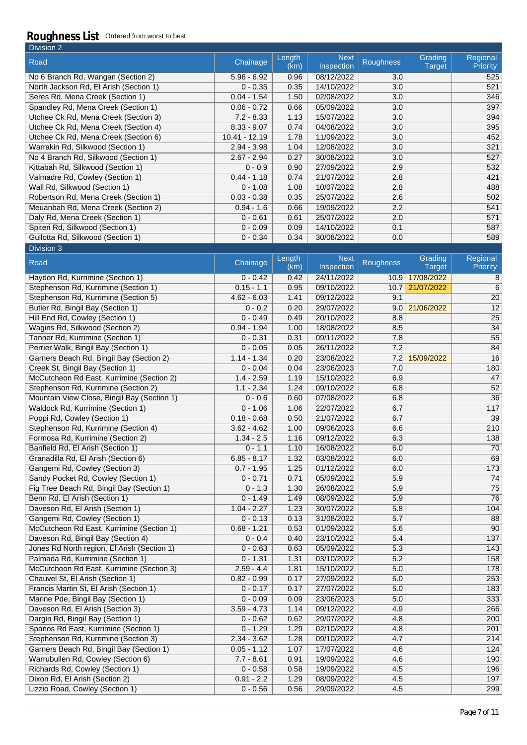| Division 2                             |               |                |                           |                  |                          |                             |
|----------------------------------------|---------------|----------------|---------------------------|------------------|--------------------------|-----------------------------|
| Road                                   | Chainage      | Length<br>(km) | <b>Next</b><br>Inspection | <b>Roughness</b> | Grading<br><b>Target</b> | Regional<br><b>Priority</b> |
| No 6 Branch Rd, Wangan (Section 2)     | $5.96 - 6.92$ | 0.96           | 08/12/2022                | 3.0              |                          | 525                         |
| North Jackson Rd, El Arish (Section 1) | $0 - 0.35$    | 0.35           | 14/10/2022                | 3.0              |                          | 521                         |
| Seres Rd, Mena Creek (Section 1)       | $0.04 - 1.54$ | 1.50           | 02/08/2022                | 3.0              |                          | 346                         |
| Spandley Rd, Mena Creek (Section 1)    | $0.06 - 0.72$ | 0.66           | 05/09/2022                | 3.0              |                          | 397                         |
| Utchee Ck Rd, Mena Creek (Section 3)   | $7.2 - 8.33$  | 1.13           | 15/07/2022                | 3.0              |                          | 394                         |
| Utchee Ck Rd, Mena Creek (Section 4)   | $8.33 - 9.07$ | 0.74           | 04/08/2022                | 3.0              |                          | 395                         |
| Utchee Ck Rd, Mena Creek (Section 6)   | 10.41 - 12.19 | 1.78           | 11/09/2022                | 3.0              |                          | 452                         |
| Warrakin Rd, Silkwood (Section 1)      | $2.94 - 3.98$ | 1.04           | 12/08/2022                | 3.0              |                          | 321                         |
| No 4 Branch Rd, Silkwood (Section 1)   | $2.67 - 2.94$ | 0.27           | 30/08/2022                | 3.0              |                          | 527                         |
| Kittabah Rd, Silkwood (Section 1)      | $0 - 0.9$     | 0.90           | 27/09/2022                | 2.9              |                          | 532                         |
| Valmadre Rd, Cowley (Section 1)        | $0.44 - 1.18$ | 0.74           | 21/07/2022                | 2.8              |                          | 421                         |
| Wall Rd, Silkwood (Section 1)          | $0 - 1.08$    | 1.08           | 10/07/2022                | 2.8              |                          | 488                         |
| Robertson Rd, Mena Creek (Section 1)   | $0.03 - 0.38$ | 0.35           | 25/07/2022                | 2.6              |                          | 502                         |
| Meuanbah Rd, Mena Creek (Section 2)    | $0.94 - 1.6$  | 0.66           | 19/09/2022                | 2.2              |                          | 541                         |
| Daly Rd, Mena Creek (Section 1)        | $0 - 0.61$    | 0.61           | 25/07/2022                | 2.0              |                          | 571                         |
| Spiteri Rd, Silkwood (Section 1)       | $0 - 0.09$    | 0.09           | 14/10/2022                | 0.1              |                          | 587                         |
| Gullotta Rd, Silkwood (Section 1)      | $0 - 0.34$    | 0.34           | 30/08/2022                | 0.0              |                          | 589                         |

| Division 3                                  |               |                |                           |                  |                          |                      |
|---------------------------------------------|---------------|----------------|---------------------------|------------------|--------------------------|----------------------|
| Road                                        | Chainage      | Length<br>(km) | <b>Next</b><br>Inspection | <b>Roughness</b> | Grading<br><b>Target</b> | Regional<br>Priority |
| Haydon Rd, Kurrimine (Section 1)            | $0 - 0.42$    | 0.42           | 24/11/2022                | 10.9             | 17/08/2022               | 8                    |
| Stephenson Rd, Kurrimine (Section 1)        | $0.15 - 1.1$  | 0.95           | 09/10/2022                | 10.7             | 21/07/2022               | 6                    |
| Stephenson Rd, Kurrimine (Section 5)        | $4.62 - 6.03$ | 1.41           | 09/12/2022                | 9.1              |                          | $\overline{20}$      |
| Butler Rd, Bingil Bay (Section 1)           | $0 - 0.2$     | 0.20           | 29/07/2022                | 9.0              | 21/06/2022               | $\overline{12}$      |
| Hill End Rd, Cowley (Section 1)             | $0 - 0.49$    | 0.49           | 20/10/2022                | 8.8              |                          | $\overline{25}$      |
| Wagins Rd, Silkwood (Section 2)             | $0.94 - 1.94$ | 1.00           | 18/08/2022                | 8.5              |                          | $\overline{34}$      |
| Tanner Rd, Kurrimine (Section 1)            | $0 - 0.31$    | 0.31           | 09/11/2022                | 7.8              |                          | $\overline{55}$      |
| Perrier Walk, Bingil Bay (Section 1)        | $0 - 0.05$    | 0.05           | 26/11/2022                | 7.2              |                          | $\overline{84}$      |
| Garners Beach Rd, Bingil Bay (Section 2)    | $1.14 - 1.34$ | 0.20           | 23/08/2022                | 7.2              | 15/09/2022               | $\overline{16}$      |
| Creek St, Bingil Bay (Section 1)            | $0 - 0.04$    | 0.04           | 23/06/2023                | 7.0              |                          | 180                  |
| McCutcheon Rd East, Kurrimine (Section 2)   | $1.4 - 2.59$  | 1.19           | 15/10/2022                | 6.9              |                          | 47                   |
| Stephenson Rd, Kurrimine (Section 2)        | $1.1 - 2.34$  | 1.24           | 09/10/2022                | 6.8              |                          | $\overline{52}$      |
| Mountain View Close, Bingil Bay (Section 1) | $0 - 0.6$     | 0.60           | 07/08/2022                | 6.8              |                          | 36                   |
| Waldock Rd, Kurrimine (Section 1)           | $0 - 1.06$    | 1.06           | 22/07/2022                | 6.7              |                          | $\overline{117}$     |
| Poppi Rd, Cowley (Section 1)                | $0.18 - 0.68$ | 0.50           | 21/07/2022                | 6.7              |                          | $\overline{39}$      |
| Stephenson Rd, Kurrimine (Section 4)        | $3.62 - 4.62$ | 1.00           | 09/06/2023                | 6.6              |                          | 210                  |
| Formosa Rd, Kurrimine (Section 2)           | $1.34 - 2.5$  | 1.16           | 09/12/2022                | 6.3              |                          | $\overline{138}$     |
| Banfield Rd, El Arish (Section 1)           | $0 - 1.1$     | 1.10           | 16/08/2022                | 6.0              |                          | 70                   |
| Granadilla Rd, El Arish (Section 6)         | $6.85 - 8.17$ | 1.32           | 03/08/2022                | 6.0              |                          | 69                   |
| Gangemi Rd, Cowley (Section 3)              | $0.7 - 1.95$  | 1.25           | 01/12/2022                | 6.0              |                          | 173                  |
| Sandy Pocket Rd, Cowley (Section 1)         | $0 - 0.71$    | 0.71           | 05/09/2022                | 5.9              |                          | $\overline{74}$      |
| Fig Tree Beach Rd, Bingil Bay (Section 1)   | $0 - 1.3$     | 1.30           | 26/08/2022                | 5.9              |                          | $\overline{75}$      |
| Benn Rd, El Arish (Section 1)               | $0 - 1.49$    | 1.49           | 08/09/2022                | 5.9              |                          | $\overline{76}$      |
| Daveson Rd, El Arish (Section 1)            | $1.04 - 2.27$ | 1.23           | 30/07/2022                | 5.8              |                          | 104                  |
| Gangemi Rd, Cowley (Section 1)              | $0 - 0.13$    | 0.13           | 31/08/2022                | 5.7              |                          | 88                   |
| McCutcheon Rd East, Kurrimine (Section 1)   | $0.68 - 1.21$ | 0.53           | 01/09/2022                | 5.6              |                          | 90                   |
| Daveson Rd, Bingil Bay (Section 4)          | $0 - 0.4$     | 0.40           | 23/10/2022                | 5.4              |                          | 137                  |
| Jones Rd North region, El Arish (Section 1) | $0 - 0.63$    | 0.63           | 05/09/2022                | $\overline{5.3}$ |                          | 143                  |
| Palmada Rd, Kurrimine (Section 1)           | $0 - 1.31$    | 1.31           | 03/10/2022                | $\overline{5.2}$ |                          | 158                  |
| McCutcheon Rd East, Kurrimine (Section 3)   | $2.59 - 4.4$  | 1.81           | 15/10/2022                | 5.0              |                          | 178                  |
| Chauvel St, El Arish (Section 1)            | $0.82 - 0.99$ | 0.17           | 27/09/2022                | 5.0              |                          | 253                  |
| Francis Martin St, El Arish (Section 1)     | $0 - 0.17$    | 0.17           | 27/07/2022                | 5.0              |                          | 183                  |
| Marine Pde, Bingil Bay (Section 1)          | $0 - 0.09$    | 0.09           | 23/06/2023                | 5.0              |                          | 333                  |
| Daveson Rd, El Arish (Section 3)            | $3.59 - 4.73$ | 1.14           | 09/12/2022                | 4.9              |                          | 266                  |
| Dargin Rd, Bingil Bay (Section 1)           | $0 - 0.62$    | 0.62           | 29/07/2022                | 4.8              |                          | 200                  |
| Spanos Rd East, Kurrimine (Section 1)       | $0 - 1.29$    | 1.29           | 02/10/2022                | 4.8              |                          | 201                  |
| Stephenson Rd, Kurrimine (Section 3)        | $2.34 - 3.62$ | 1.28           | 09/10/2022                | 4.7              |                          | 214                  |
| Garners Beach Rd, Bingil Bay (Section 1)    | $0.05 - 1.12$ | 1.07           | 17/07/2022                | 4.6              |                          | 124                  |
| Warrubullen Rd, Cowley (Section 6)          | $7.7 - 8.61$  | 0.91           | 19/09/2022                | 4.6              |                          | 190                  |
| Richards Rd, Cowley (Section 1)             | $0 - 0.58$    | 0.58           | 19/09/2022                | 4.5              |                          | 196                  |
| Dixon Rd, El Arish (Section 2)              | $0.91 - 2.2$  | 1.29           | 08/09/2022                | 4.5              |                          | 197                  |
| Lizzio Road, Cowley (Section 1)             | $0 - 0.56$    | 0.56           | 29/09/2022                | 4.5              |                          | 299                  |
|                                             |               |                |                           |                  |                          |                      |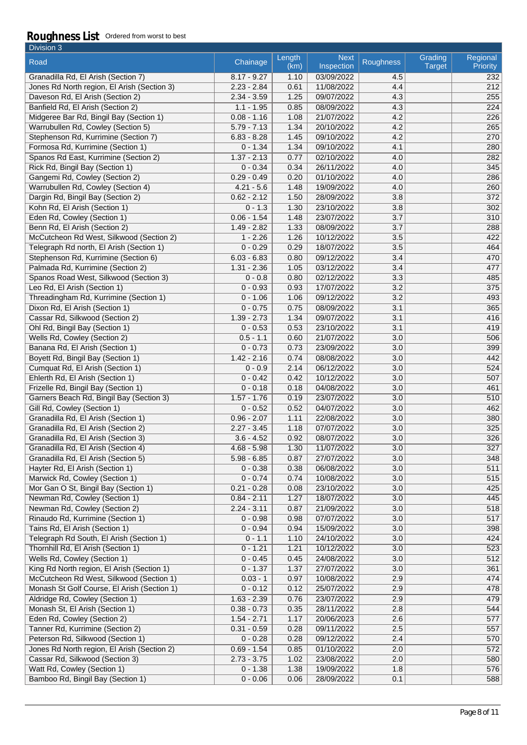| Division 3                                                                             |                           |                |                           |            |                          |                             |
|----------------------------------------------------------------------------------------|---------------------------|----------------|---------------------------|------------|--------------------------|-----------------------------|
| Road                                                                                   | Chainage                  | Length<br>(km) | <b>Next</b><br>Inspection | Roughness  | Grading<br><b>Target</b> | Regional<br><b>Priority</b> |
| Granadilla Rd, El Arish (Section 7)                                                    | $8.17 - 9.27$             | 1.10           | 03/09/2022                | 4.5        |                          | 232                         |
| Jones Rd North region, El Arish (Section 3)                                            | $2.23 - 2.84$             | 0.61           | 11/08/2022                | 4.4        |                          | 212                         |
| Daveson Rd, El Arish (Section 2)                                                       | $2.34 - 3.59$             | 1.25           | 09/07/2022                | 4.3        |                          | 255                         |
| Banfield Rd, El Arish (Section 2)                                                      | $1.1 - 1.95$              | 0.85           | 08/09/2022                | 4.3        |                          | 224                         |
| Midgeree Bar Rd, Bingil Bay (Section 1)                                                | $0.08 - 1.16$             | 1.08           | 21/07/2022                | 4.2        |                          | 226                         |
| Warrubullen Rd, Cowley (Section 5)                                                     | $5.79 - 7.13$             | 1.34           | 20/10/2022                | 4.2        |                          | 265                         |
| Stephenson Rd, Kurrimine (Section 7)                                                   | $6.83 - 8.28$             | 1.45           | 09/10/2022                | 4.2        |                          | 270                         |
| Formosa Rd, Kurrimine (Section 1)                                                      | $0 - 1.34$                | 1.34           | 09/10/2022                | 4.1        |                          | 280                         |
| Spanos Rd East, Kurrimine (Section 2)                                                  | $1.37 - 2.13$             | 0.77           | 02/10/2022                | 4.0        |                          | 282                         |
| Rick Rd, Bingil Bay (Section 1)                                                        | $0 - 0.34$                | 0.34           | 26/11/2022                | 4.0        |                          | 345                         |
| Gangemi Rd, Cowley (Section 2)                                                         | $0.29 - 0.49$             | 0.20           | 01/10/2022                | 4.0        |                          | 286                         |
| Warrubullen Rd, Cowley (Section 4)                                                     | $4.21 - 5.6$              | 1.48           | 19/09/2022                | 4.0        |                          | 260                         |
| Dargin Rd, Bingil Bay (Section 2)                                                      | $0.62 - 2.12$             | 1.50           | 28/09/2022                | 3.8        |                          | 372                         |
| Kohn Rd, El Arish (Section 1)                                                          | $0 - 1.3$                 | 1.30           | 23/10/2022                | 3.8        |                          | 302                         |
| Eden Rd, Cowley (Section 1)                                                            | $0.06 - 1.54$             | 1.48           | 23/07/2022                | 3.7        |                          | 310                         |
| Benn Rd, El Arish (Section 2)                                                          | $1.49 - 2.82$             | 1.33           | 08/09/2022                | 3.7        |                          | 288                         |
| McCutcheon Rd West, Silkwood (Section 2)                                               | $1 - 2.26$                | 1.26           | 10/12/2022                | 3.5        |                          | 422                         |
| Telegraph Rd north, El Arish (Section 1)                                               | $0 - 0.29$                | 0.29           | 18/07/2022                | 3.5        |                          | 464                         |
| Stephenson Rd, Kurrimine (Section 6)                                                   | $6.03 - 6.83$             | 0.80           | 09/12/2022                | 3.4        |                          | 470                         |
| Palmada Rd, Kurrimine (Section 2)                                                      | $1.31 - 2.36$             | 1.05           | 03/12/2022                | 3.4        |                          | 477                         |
| Spanos Road West, Silkwood (Section 3)                                                 | $0 - 0.8$                 | 0.80           | 02/12/2022                | 3.3        |                          | 485                         |
| Leo Rd, El Arish (Section 1)                                                           | $0 - 0.93$                | 0.93           | 17/07/2022                | 3.2        |                          | 375                         |
| Threadingham Rd, Kurrimine (Section 1)                                                 | $0 - 1.06$                | 1.06           | 09/12/2022                | 3.2        |                          | 493                         |
| Dixon Rd, El Arish (Section 1)                                                         | $0 - 0.75$                | 0.75           | 08/09/2022                | 3.1        |                          | 365                         |
| Cassar Rd, Silkwood (Section 2)<br>Ohl Rd, Bingil Bay (Section 1)                      | $1.39 - 2.73$             | 1.34           | 09/07/2022<br>23/10/2022  | 3.1        |                          | 416<br>419                  |
| Wells Rd, Cowley (Section 2)                                                           | $0 - 0.53$<br>$0.5 - 1.1$ | 0.53<br>0.60   | 21/07/2022                | 3.1<br>3.0 |                          | 506                         |
| Banana Rd, El Arish (Section 1)                                                        | $0 - 0.73$                | 0.73           | 23/09/2022                | 3.0        |                          | 399                         |
| Boyett Rd, Bingil Bay (Section 1)                                                      | $1.42 - 2.16$             | 0.74           | 08/08/2022                | 3.0        |                          | 442                         |
| Cumquat Rd, El Arish (Section 1)                                                       | $0 - 0.9$                 | 2.14           | 06/12/2022                | 3.0        |                          | 524                         |
| Ehlerth Rd, El Arish (Section 1)                                                       | $0 - 0.42$                | 0.42           | 10/12/2022                | 3.0        |                          | 507                         |
| Frizelle Rd, Bingil Bay (Section 1)                                                    | $0 - 0.18$                | 0.18           | 04/08/2022                | 3.0        |                          | 461                         |
| Garners Beach Rd, Bingil Bay (Section 3)                                               | $1.57 - 1.76$             | 0.19           | 23/07/2022                | 3.0        |                          | 510                         |
| Gill Rd, Cowley (Section 1)                                                            | $0 - 0.52$                | 0.52           | 04/07/2022                | 3.0        |                          | 462                         |
| Granadilla Rd, El Arish (Section 1)                                                    | $0.96 - 2.07$             | 1.11           | 22/08/2022                | 3.0        |                          | 380                         |
| Granadilla Rd, El Arish (Section 2)                                                    | $2.27 - 3.45$             | 1.18           | 07/07/2022                | 3.0        |                          | 325                         |
| Granadilla Rd, El Arish (Section 3)                                                    | $3.6 - 4.52$              | 0.92           | 08/07/2022                | 3.0        |                          | 326                         |
| Granadilla Rd, El Arish (Section 4)                                                    | $4.68 - 5.98$             | 1.30           | 11/07/2022                | 3.0        |                          | 327                         |
| Granadilla Rd, El Arish (Section 5)                                                    | $5.98 - 6.85$             | 0.87           | 27/07/2022                | 3.0        |                          | 348                         |
| Hayter Rd, El Arish (Section 1)                                                        | $0 - 0.38$                | 0.38           | 06/08/2022                | 3.0        |                          | 511                         |
| Marwick Rd, Cowley (Section 1)                                                         | $0 - 0.74$                | 0.74           | 10/08/2022                | 3.0        |                          | 515                         |
| Mor Gan O St, Bingil Bay (Section 1)                                                   | $0.21 - 0.28$             | 0.08           | 23/10/2022                | 3.0        |                          | 425                         |
| Newman Rd, Cowley (Section 1)                                                          | $0.84 - 2.11$             | 1.27           | 18/07/2022                | 3.0        |                          | 445                         |
| Newman Rd, Cowley (Section 2)                                                          | $2.24 - 3.11$             | 0.87           | 21/09/2022                | 3.0        |                          | 518                         |
| Rinaudo Rd, Kurrimine (Section 1)                                                      | $0 - 0.98$                | 0.98           | 07/07/2022                | 3.0        |                          | 517                         |
| Tains Rd, El Arish (Section 1)                                                         | $0 - 0.94$                | 0.94           | 15/09/2022                | 3.0        |                          | 398                         |
| Telegraph Rd South, El Arish (Section 1)                                               | $0 - 1.1$                 | 1.10           | 24/10/2022                | 3.0        |                          | 424                         |
| Thornhill Rd, El Arish (Section 1)                                                     | $0 - 1.21$                | 1.21           | 10/12/2022                | 3.0        |                          | 523                         |
| Wells Rd, Cowley (Section 1)                                                           | $0 - 0.45$                | 0.45           | 24/08/2022                | 3.0        |                          | 512                         |
| King Rd North region, El Arish (Section 1)<br>McCutcheon Rd West, Silkwood (Section 1) | $0 - 1.37$<br>$0.03 - 1$  | 1.37<br>0.97   | 27/07/2022<br>10/08/2022  | 3.0<br>2.9 |                          | 361<br>474                  |
| Monash St Golf Course, El Arish (Section 1)                                            | $0 - 0.12$                | 0.12           | 25/07/2022                | 2.9        |                          | 478                         |
| Aldridge Rd, Cowley (Section 1)                                                        | $1.63 - 2.39$             | 0.76           | 23/07/2022                | 2.9        |                          | 479                         |
| Monash St, El Arish (Section 1)                                                        | $0.38 - 0.73$             | 0.35           | 28/11/2022                | 2.8        |                          | 544                         |
| Eden Rd, Cowley (Section 2)                                                            | $1.54 - 2.71$             | 1.17           | 20/06/2023                | 2.6        |                          | 577                         |
| Tanner Rd, Kurrimine (Section 2)                                                       | $0.31 - 0.59$             | 0.28           | 09/11/2022                | 2.5        |                          | 557                         |
| Peterson Rd, Silkwood (Section 1)                                                      | $0 - 0.28$                | 0.28           | 09/12/2022                | 2.4        |                          | 570                         |
| Jones Rd North region, El Arish (Section 2)                                            | $0.69 - 1.54$             | 0.85           | 01/10/2022                | 2.0        |                          | 572                         |
| Cassar Rd, Silkwood (Section 3)                                                        | $2.73 - 3.75$             | 1.02           | 23/08/2022                | 2.0        |                          | 580                         |
| Watt Rd, Cowley (Section 1)                                                            | $0 - 1.38$                | 1.38           | 19/09/2022                | 1.8        |                          | 576                         |
| Bamboo Rd, Bingil Bay (Section 1)                                                      | $0 - 0.06$                | 0.06           | 28/09/2022                | 0.1        |                          | 588                         |
|                                                                                        |                           |                |                           |            |                          |                             |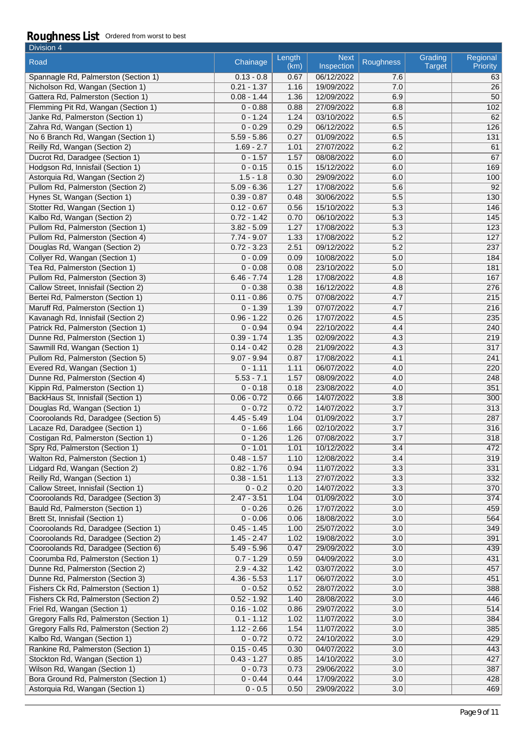| Division 4                                                        |                             |                |                           |                  |                          |                      |
|-------------------------------------------------------------------|-----------------------------|----------------|---------------------------|------------------|--------------------------|----------------------|
| Road                                                              | Chainage                    | Length<br>(km) | <b>Next</b><br>Inspection | <b>Roughness</b> | Grading<br><b>Target</b> | Regional<br>Priority |
| Spannagle Rd, Palmerston (Section 1)                              | $0.13 - 0.8$                | 0.67           | 06/12/2022                | 7.6              |                          | 63                   |
| Nicholson Rd, Wangan (Section 1)                                  | $0.21 - 1.37$               | 1.16           | 19/09/2022                | 7.0              |                          | 26                   |
| Gattera Rd, Palmerston (Section 1)                                | $0.08 - 1.44$               | 1.36           | 12/09/2022                | 6.9              |                          | 50                   |
| Flemming Pit Rd, Wangan (Section 1)                               | $0 - 0.88$                  | 0.88           | 27/09/2022                | 6.8              |                          | 102                  |
| Janke Rd, Palmerston (Section 1)                                  | $0 - 1.24$                  | 1.24           | 03/10/2022                | 6.5              |                          | 62                   |
| Zahra Rd, Wangan (Section 1)                                      | $0 - 0.29$                  | 0.29           | 06/12/2022                | 6.5              |                          | 126                  |
| No 6 Branch Rd, Wangan (Section 1)                                | $5.59 - 5.86$               | 0.27           | 01/09/2022                | 6.5              |                          | 131                  |
| Reilly Rd, Wangan (Section 2)                                     | $1.69 - 2.7$                | 1.01           | 27/07/2022                | 6.2              |                          | 61                   |
| Ducrot Rd, Daradgee (Section 1)                                   | $0 - 1.57$                  | 1.57           | 08/08/2022                | 6.0              |                          | 67                   |
| Hodgson Rd, Innisfail (Section 1)                                 | $0 - 0.15$                  | 0.15           | 15/12/2022                | 6.0              |                          | 169                  |
| Astorquia Rd, Wangan (Section 2)                                  | $1.5 - 1.8$                 | 0.30           | 29/09/2022                | 6.0              |                          | 100                  |
| Pullom Rd, Palmerston (Section 2)                                 | $5.09 - 6.36$               | 1.27           | 17/08/2022                | 5.6              |                          | 92                   |
| Hynes St, Wangan (Section 1)                                      | $0.39 - 0.87$               | 0.48           | 30/06/2022                | $\overline{5.5}$ |                          | 130                  |
| Stotter Rd, Wangan (Section 1)                                    | $0.12 - 0.67$               | 0.56           | 15/10/2022                | 5.3              |                          | 146                  |
| Kalbo Rd, Wangan (Section 2)                                      | $0.72 - 1.42$               | 0.70           | 06/10/2022                | 5.3              |                          | 145                  |
| Pullom Rd, Palmerston (Section 1)                                 | $3.82 - 5.09$               | 1.27           | 17/08/2022                | 5.3              |                          | $\overline{123}$     |
| Pullom Rd, Palmerston (Section 4)                                 | $7.74 - 9.07$               | 1.33           | 17/08/2022                | 5.2              |                          | 127                  |
| Douglas Rd, Wangan (Section 2)                                    | $0.72 - 3.23$               | 2.51           | 09/12/2022                | 5.2              |                          | 237                  |
| Collyer Rd, Wangan (Section 1)                                    | $0 - 0.09$                  | 0.09           | 10/08/2022                | 5.0              |                          | 184                  |
| Tea Rd, Palmerston (Section 1)                                    | $0 - 0.08$                  | 0.08           | 23/10/2022                | 5.0              |                          | 181                  |
| Pullom Rd, Palmerston (Section 3)                                 | $6.46 - 7.74$               | 1.28           | 17/08/2022                | 4.8              |                          | 167                  |
| Callow Street, Innisfail (Section 2)                              | $0 - 0.38$                  | 0.38           | 16/12/2022                | 4.8              |                          | 276                  |
| Bertei Rd, Palmerston (Section 1)                                 | $0.11 - 0.86$               | 0.75           | 07/08/2022                | 4.7              |                          | 215                  |
| Maruff Rd, Palmerston (Section 1)                                 | $0 - 1.39$                  | 1.39           | 07/07/2022                | 4.7              |                          | 216                  |
| Kavanagh Rd, Innisfail (Section 2)                                | $0.96 - 1.22$               | 0.26           | 17/07/2022                | 4.5              |                          | 235                  |
| Patrick Rd, Palmerston (Section 1)                                | $0 - 0.94$                  | 0.94           | 22/10/2022                | 4.4              |                          | 240                  |
| Dunne Rd, Palmerston (Section 1)                                  | $0.39 - 1.74$               | 1.35           | 02/09/2022                | 4.3              |                          | 219                  |
| Sawmill Rd, Wangan (Section 1)                                    | $0.14 - 0.42$               | 0.28           | 21/09/2022                | 4.3<br>4.1       |                          | 317<br>241           |
| Pullom Rd, Palmerston (Section 5)                                 | $9.07 - 9.94$<br>$0 - 1.11$ | 0.87           | 17/08/2022                |                  |                          |                      |
| Evered Rd, Wangan (Section 1)<br>Dunne Rd, Palmerston (Section 4) | $5.53 - 7.1$                | 1.11<br>1.57   | 06/07/2022<br>08/09/2022  | 4.0<br>4.0       |                          | 220<br>248           |
| Kippin Rd, Palmerston (Section 1)                                 | $0 - 0.18$                  | 0.18           | 23/08/2022                | 4.0              |                          | 351                  |
| BackHaus St, Innisfail (Section 1)                                | $0.06 - 0.72$               | 0.66           | 14/07/2022                | 3.8              |                          | 300                  |
| Douglas Rd, Wangan (Section 1)                                    | $0 - 0.72$                  | 0.72           | 14/07/2022                | 3.7              |                          | 313                  |
| Cooroolands Rd, Daradgee (Section 5)                              | $4.45 - 5.49$               | 1.04           | 01/09/2022                | 3.7              |                          | 287                  |
| Lacaze Rd, Daradgee (Section 1)                                   | $0 - 1.66$                  | 1.66           | 02/10/2022                | 3.7              |                          | 316                  |
| Costigan Rd, Palmerston (Section 1)                               | $0 - 1.26$                  | 1.26           | 07/08/2022                | 3.7              |                          | 318                  |
| Spry Rd, Palmerston (Section 1)                                   | $0 - 1.01$                  | 1.01           | 10/12/2022                | 3.4              |                          | 472                  |
| Walton Rd, Palmerston (Section 1)                                 | $0.48 - 1.57$               | 1.10           | 12/08/2022                | 3.4              |                          | 319                  |
| Lidgard Rd, Wangan (Section 2)                                    | $0.82 - 1.76$               | 0.94           | 11/07/2022                | 3.3              |                          | 331                  |
| Reilly Rd, Wangan (Section 1)                                     | $0.38 - 1.51$               | 1.13           | 27/07/2022                | $\overline{3.3}$ |                          | 332                  |
| Callow Street, Innisfail (Section 1)                              | $0 - 0.2$                   | 0.20           | 14/07/2022                | 3.3              |                          | 370                  |
| Cooroolands Rd, Daradgee (Section 3)                              | $2.47 - 3.51$               | 1.04           | 01/09/2022                | 3.0              |                          | 374                  |
| Bauld Rd, Palmerston (Section 1)                                  | $0 - 0.26$                  | 0.26           | 17/07/2022                | 3.0              |                          | 459                  |
| Brett St, Innisfail (Section 1)                                   | $0 - 0.06$                  | 0.06           | 18/08/2022                | 3.0              |                          | 564                  |
| Cooroolands Rd, Daradgee (Section 1)                              | $0.45 - 1.45$               | 1.00           | 25/07/2022                | 3.0              |                          | 349                  |
| Cooroolands Rd, Daradgee (Section 2)                              | $1.45 - 2.47$               | 1.02           | 19/08/2022                | 3.0              |                          | 391                  |
| Cooroolands Rd, Daradgee (Section 6)                              | $5.49 - 5.96$               | 0.47           | 29/09/2022                | 3.0              |                          | 439                  |
| Coorumba Rd, Palmerston (Section 1)                               | $0.7 - 1.29$                | 0.59           | 04/09/2022                | 3.0              |                          | 431                  |
| Dunne Rd, Palmerston (Section 2)                                  | $2.9 - 4.32$                | 1.42           | 03/07/2022                | 3.0              |                          | 457                  |
| Dunne Rd, Palmerston (Section 3)                                  | $4.36 - 5.53$               | 1.17           | 06/07/2022                | 3.0              |                          | 451                  |
| Fishers Ck Rd, Palmerston (Section 1)                             | $0 - 0.52$                  | 0.52           | 28/07/2022                | 3.0              |                          | 388                  |
| Fishers Ck Rd, Palmerston (Section 2)                             | $0.52 - 1.92$               | 1.40           | 28/08/2022                | 3.0              |                          | 446                  |
| Friel Rd, Wangan (Section 1)                                      | $0.16 - 1.02$               | 0.86           | 29/07/2022                | 3.0              |                          | 514                  |
| Gregory Falls Rd, Palmerston (Section 1)                          | $0.1 - 1.12$                | 1.02           | 11/07/2022                | 3.0              |                          | 384                  |
| Gregory Falls Rd, Palmerston (Section 2)                          | $1.12 - 2.66$               | 1.54           | 11/07/2022                | 3.0              |                          | 385                  |
| Kalbo Rd, Wangan (Section 1)                                      | $0 - 0.72$                  | 0.72           | 24/10/2022                | 3.0              |                          | 429                  |
| Rankine Rd, Palmerston (Section 1)                                | $0.15 - 0.45$               | 0.30           | 04/07/2022                | 3.0              |                          | 443                  |
| Stockton Rd, Wangan (Section 1)                                   | $0.43 - 1.27$               | 0.85           | 14/10/2022                | 3.0              |                          | 427                  |
| Wilson Rd, Wangan (Section 1)                                     | $0 - 0.73$                  | 0.73           | 29/06/2022                | 3.0              |                          | 387                  |
| Bora Ground Rd, Palmerston (Section 1)                            | $0 - 0.44$                  | 0.44           | 17/09/2022                | 3.0              |                          | 428                  |
| Astorquia Rd, Wangan (Section 1)                                  | $0 - 0.5$                   | 0.50           | 29/09/2022                | 3.0              |                          | 469                  |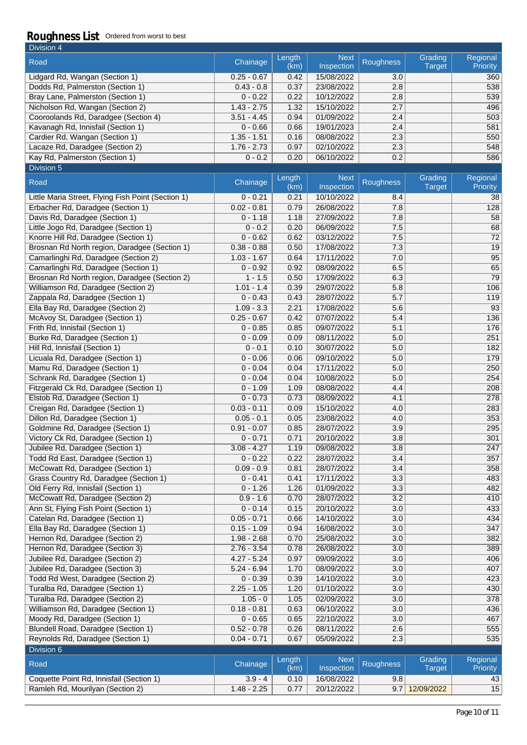| Division 4                           |               |                |                           |                  |                   |                      |
|--------------------------------------|---------------|----------------|---------------------------|------------------|-------------------|----------------------|
| Road                                 | Chainage      | Length<br>(km) | <b>Next</b><br>Inspection | <b>Roughness</b> | Grading<br>Target | Regional<br>Priority |
| Lidgard Rd, Wangan (Section 1)       | $0.25 - 0.67$ | 0.42           | 15/08/2022                | 3.0              |                   | 360                  |
| Dodds Rd, Palmerston (Section 1)     | $0.43 - 0.8$  | 0.37           | 23/08/2022                | 2.8              |                   | 538                  |
| Bray Lane, Palmerston (Section 1)    | $0 - 0.22$    | 0.22           | 10/12/2022                | 2.8              |                   | 539                  |
| Nicholson Rd, Wangan (Section 2)     | $1.43 - 2.75$ | 1.32           | 15/10/2022                | 2.7              |                   | 496                  |
| Cooroolands Rd, Daradgee (Section 4) | $3.51 - 4.45$ | 0.94           | 01/09/2022                | 2.4              |                   | 503                  |
| Kavanagh Rd, Innisfail (Section 1)   | $0 - 0.66$    | 0.66           | 19/01/2023                | 2.4              |                   | 581                  |
| Cardier Rd, Wangan (Section 1)       | $1.35 - 1.51$ | 0.16           | 08/08/2022                | 2.3              |                   | 550                  |
| Lacaze Rd, Daradgee (Section 2)      | $1.76 - 2.73$ | 0.97           | 02/10/2022                | 2.3              |                   | 548                  |
| Kay Rd, Palmerston (Section 1)       | $0 - 0.2$     | 0.20           | 06/10/2022                | 0.2              |                   | 586                  |
| Division 5                           |               |                |                           |                  |                   |                      |

| Road                                               | Chainage      | Length<br>(km) | <b>Next</b><br>Inspection | Roughness        | Grading<br><b>Target</b> | Regional<br>Priority        |
|----------------------------------------------------|---------------|----------------|---------------------------|------------------|--------------------------|-----------------------------|
| Little Maria Street, Flying Fish Point (Section 1) | $0 - 0.21$    | 0.21           | 10/10/2022                | 8.4              |                          | 38                          |
| Erbacher Rd, Daradgee (Section 1)                  | $0.02 - 0.81$ | 0.79           | 26/08/2022                | 7.8              |                          | 128                         |
| Davis Rd, Daradgee (Section 1)                     | $0 - 1.18$    | 1.18           | 27/09/2022                | 7.8              |                          | 58                          |
| Little Jogo Rd, Daradgee (Section 1)               | $0 - 0.2$     | 0.20           | 06/09/2022                | 7.5              |                          | 68                          |
| Knorre Hill Rd, Daradgee (Section 1)               | $0 - 0.62$    | 0.62           | 03/12/2022                | 7.5              |                          | $\overline{72}$             |
| Brosnan Rd North region, Daradgee (Section 1)      | $0.38 - 0.88$ | 0.50           | 17/08/2022                | 7.3              |                          | 19                          |
| Camarlinghi Rd, Daradgee (Section 2)               | $1.03 - 1.67$ | 0.64           | 17/11/2022                | 7.0              |                          | 95                          |
| Camarlinghi Rd, Daradgee (Section 1)               | $0 - 0.92$    | 0.92           | 08/09/2022                | 6.5              |                          | 65                          |
| Brosnan Rd North region, Daradgee (Section 2)      | $1 - 1.5$     | 0.50           | 17/09/2022                | 6.3              |                          | 79                          |
| Williamson Rd, Daradgee (Section 2)                | $1.01 - 1.4$  | 0.39           | 29/07/2022                | 5.8              |                          | 106                         |
| Zappala Rd, Daradgee (Section 1)                   | $0 - 0.43$    | 0.43           | 28/07/2022                | 5.7              |                          | 119                         |
| Ella Bay Rd, Daradgee (Section 2)                  | $1.09 - 3.3$  | 2.21           | 17/08/2022                | 5.6              |                          | 93                          |
| McAvoy St, Daradgee (Section 1)                    | $0.25 - 0.67$ | 0.42           | 07/07/2022                | 5.4              |                          | 136                         |
| Frith Rd, Innisfail (Section 1)                    | $0 - 0.85$    | 0.85           | 09/07/2022                | 5.1              |                          | 176                         |
| Burke Rd, Daradgee (Section 1)                     | $0 - 0.09$    | 0.09           | 08/11/2022                | 5.0              |                          | 251                         |
| Hill Rd, Innisfail (Section 1)                     | $0 - 0.1$     | 0.10           | 30/07/2022                | 5.0              |                          | 182                         |
| Licuala Rd, Daradgee (Section 1)                   | $0 - 0.06$    | 0.06           | 09/10/2022                | 5.0              |                          | 179                         |
| Mamu Rd, Daradgee (Section 1)                      | $0 - 0.04$    | 0.04           | 17/11/2022                | 5.0              |                          | 250                         |
| Schrank Rd, Daradgee (Section 1)                   | $0 - 0.04$    | 0.04           | 10/08/2022                | 5.0              |                          | 254                         |
| Fitzgerald Ck Rd, Daradgee (Section 1)             | $0 - 1.09$    | 1.09           | 08/08/2022                | 4.4              |                          | 208                         |
| Elstob Rd, Daradgee (Section 1)                    | $0 - 0.73$    | 0.73           | 08/09/2022                | 4.1              |                          | 278                         |
| Creigan Rd, Daradgee (Section 1)                   | $0.03 - 0.11$ | 0.09           | 15/10/2022                | 4.0              |                          | 283                         |
| Dillon Rd, Daradgee (Section 1)                    | $0.05 - 0.1$  | 0.05           | 23/08/2022                | 4.0              |                          | 353                         |
| Goldmine Rd, Daradgee (Section 1)                  | $0.91 - 0.07$ | 0.85           | 28/07/2022                | 3.9              |                          | 295                         |
| Victory Ck Rd, Daradgee (Section 1)                | $0 - 0.71$    | 0.71           | 20/10/2022                | 3.8              |                          | 301                         |
| Jubilee Rd, Daradgee (Section 1)                   | $3.08 - 4.27$ | 1.19           | 09/08/2022                | 3.8              |                          | 247                         |
| Todd Rd East, Daradgee (Section 1)                 | $0 - 0.22$    | 0.22           | 28/07/2022                | 3.4              |                          | 357                         |
| McCowatt Rd, Daradgee (Section 1)                  | $0.09 - 0.9$  | 0.81           | 28/07/2022                | 3.4              |                          | 358                         |
| Grass Country Rd, Daradgee (Section 1)             | $0 - 0.41$    | 0.41           | 17/11/2022                | 3.3              |                          | 483                         |
| Old Ferry Rd, Innisfail (Section 1)                | $0 - 1.26$    | 1.26           | 01/09/2022                | 3.3              |                          | 482                         |
| McCowatt Rd, Daradgee (Section 2)                  | $0.9 - 1.6$   | 0.70           | 28/07/2022                | 3.2              |                          | 410                         |
| Ann St, Flying Fish Point (Section 1)              | $0 - 0.14$    | 0.15           | 20/10/2022                | 3.0              |                          | 433                         |
| Catelan Rd, Daradgee (Section 1)                   | $0.05 - 0.71$ | 0.66           | 14/10/2022                | 3.0              |                          | 434                         |
| Ella Bay Rd, Daradgee (Section 1)                  | $0.15 - 1.09$ | 0.94           | 16/08/2022                | 3.0              |                          | 347                         |
| Hernon Rd, Daradgee (Section 2)                    | $1.98 - 2.68$ | 0.70           | 25/08/2022                | 3.0              |                          | 382                         |
| Hernon Rd, Daradgee (Section 3)                    | $2.76 - 3.54$ | 0.78           | 26/08/2022                | 3.0              |                          | 389                         |
| Jubilee Rd, Daradgee (Section 2)                   | $4.27 - 5.24$ | 0.97           | 09/09/2022                | 3.0              |                          | 406                         |
| Jubilee Rd, Daradgee (Section 3)                   | $5.24 - 6.94$ | 1.70           | 08/09/2022                | $\overline{3.0}$ |                          | 407                         |
| Todd Rd West, Daradgee (Section 2)                 | $0 - 0.39$    | 0.39           | 14/10/2022                | 3.0              |                          | 423                         |
| Turalba Rd, Daradgee (Section 1)                   | $2.25 - 1.05$ | 1.20           | 01/10/2022                | 3.0              |                          | 430                         |
| Turalba Rd, Daradgee (Section 2)                   | $1.05 - 0$    | 1.05           | 02/09/2022                | 3.0              |                          | 378                         |
| Williamson Rd, Daradgee (Section 1)                | $0.18 - 0.81$ | 0.63           | 06/10/2022                | 3.0              |                          | 436                         |
| Moody Rd, Daradgee (Section 1)                     | $0 - 0.65$    | 0.65           | 22/10/2022                | 3.0              |                          | 467                         |
| Blundell Road, Daradgee (Section 1)                | $0.52 - 0.78$ | 0.26           | 08/11/2022                | 2.6              |                          | 555                         |
| Reynolds Rd, Daradgee (Section 1)                  | $0.04 - 0.71$ | 0.67           | 05/09/2022                | 2.3              |                          | 535                         |
| Division 6                                         |               |                |                           |                  |                          |                             |
| Road                                               | Chainage      | Length<br>(km) | <b>Next</b><br>Inspection | Roughness        | Grading<br><b>Target</b> | Regional<br><b>Priority</b> |
| Coquette Point Rd, Innisfail (Section 1)           | $3.9 - 4$     | 0.10           | 16/08/2022                | 9.8              |                          | 43                          |
| Ramleh Rd, Mourilyan (Section 2)                   | $1.48 - 2.25$ | 0.77           | 20/12/2022                | 9.7              | 12/09/2022               | 15                          |
|                                                    |               |                |                           |                  |                          |                             |